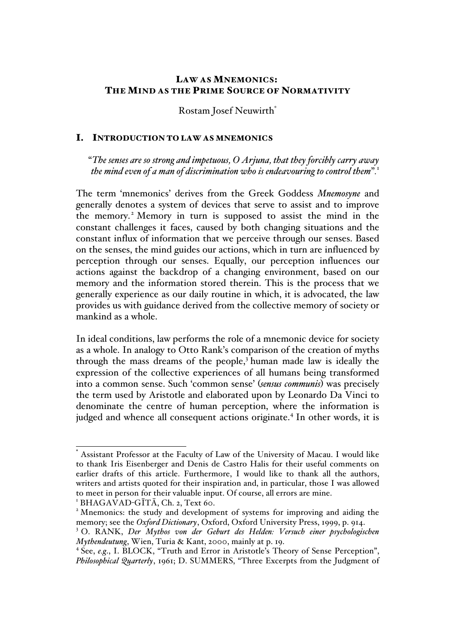# LAW AS MNEMONICS: THE MIND AS THE PRIME SOURCE OF NORMATIVITY

Rostam Josef Neuwirth\*

#### I. INTRODUCTION TO LAW AS MNEMONICS

"*The senses are so strong and impetuous, O Arjuna, that they forcibly carry away the mind even of a man of discrimination who is endeavouring to control them*"*.* 1

The term 'mnemonics' derives from the Greek Goddess *Mnemosyne* and generally denotes a system of devices that serve to assist and to improve the memory. <sup>2</sup> Memory in turn is supposed to assist the mind in the constant challenges it faces, caused by both changing situations and the constant influx of information that we perceive through our senses. Based on the senses, the mind guides our actions, which in turn are influenced by perception through our senses. Equally, our perception influences our actions against the backdrop of a changing environment, based on our memory and the information stored therein. This is the process that we generally experience as our daily routine in which, it is advocated, the law provides us with guidance derived from the collective memory of society or mankind as a whole.

In ideal conditions, law performs the role of a mnemonic device for society as a whole. In analogy to Otto Rank's comparison of the creation of myths through the mass dreams of the people,<sup>3</sup> human made law is ideally the expression of the collective experiences of all humans being transformed into a common sense. Such 'common sense' (*sensus communis*) was precisely the term used by Aristotle and elaborated upon by Leonardo Da Vinci to denominate the centre of human perception, where the information is judged and whence all consequent actions originate.<sup>4</sup> In other words, it is

Assistant Professor at the Faculty of Law of the University of Macau. I would like to thank Iris Eisenberger and Denis de Castro Halis for their useful comments on earlier drafts of this article. Furthermore, I would like to thank all the authors, writers and artists quoted for their inspiration and, in particular, those I was allowed to meet in person for their valuable input. Of course, all errors are mine.

<sup>&</sup>lt;sup>1</sup> BHAGAVAD-GĪTĀ, Ch. 2, Text 60. <sup>2</sup> Mnemonics: the study and development of systems for improving and aiding the memory; see the *Oxford Dictionary*, Oxford, Oxford University Press, 1999, p. 914.

<sup>3</sup> O. RANK, *Der Mythos von der Geburt des Helden: Versuch einer psychologischen Mythendeutung*, Wien, Turia & Kant, 2000, mainly at p. 19.

<sup>&</sup>lt;sup>4</sup> See, *e.g.*, I. BLOCK, "Truth and Error in Aristotle's Theory of Sense Perception", *Philosophical Quarterly*, 1961; D. SUMMERS, "Three Excerpts from the Judgment of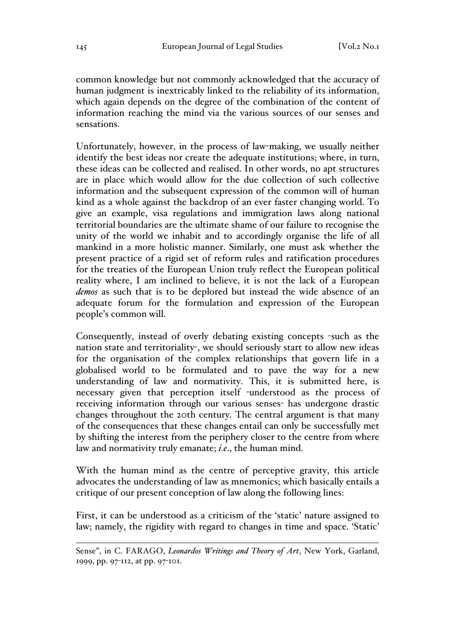common knowledge but not commonly acknowledged that the accuracy of human judgment is inextricably linked to the reliability of its information, which again depends on the degree of the combination of the content of information reaching the mind via the various sources of our senses and sensations.

Unfortunately, however, in the process of law-making, we usually neither identify the best ideas nor create the adequate institutions; where, in turn, these ideas can be collected and realised. In other words, no apt structures are in place which would allow for the due collection of such collective information and the subsequent expression of the common will of human kind as a whole against the backdrop of an ever faster changing world. To give an example, visa regulations and immigration laws along national territorial boundaries are the ultimate shame of our failure to recognise the unity of the world we inhabit and to accordingly organise the life of all mankind in a more holistic manner. Similarly, one must ask whether the present practice of a rigid set of reform rules and ratification procedures for the treaties of the European Union truly reflect the European political reality where, I am inclined to believe, it is not the lack of a European *demos* as such that is to be deplored but instead the wide absence of an adequate forum for the formulation and expression of the European people's common will.

Consequently, instead of overly debating existing concepts -such as the nation state and territoriality-, we should seriously start to allow new ideas for the organisation of the complex relationships that govern life in a globalised world to be formulated and to pave the way for a new understanding of law and normativity. This, it is submitted here, is necessary given that perception itself -understood as the process of receiving information through our various senses- has undergone drastic changes throughout the 20th century. The central argument is that many of the consequences that these changes entail can only be successfully met by shifting the interest from the periphery closer to the centre from where law and normativity truly emanate; *i.e*., the human mind.

With the human mind as the centre of perceptive gravity, this article advocates the understanding of law as mnemonics; which basically entails a critique of our present conception of law along the following lines:

First, it can be understood as a criticism of the 'static' nature assigned to law; namely, the rigidity with regard to changes in time and space. 'Static'

Sense", in C. FARAGO, *Leonardos Writings and Theory of Art*, New York, Garland, 1999, pp. 97-112, at pp. 97-101.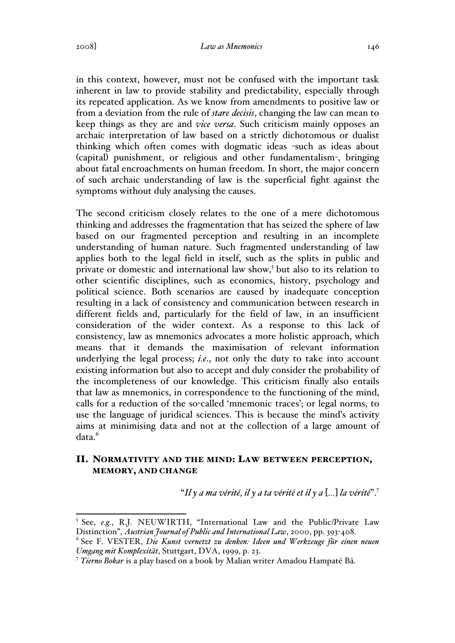in this context, however, must not be confused with the important task inherent in law to provide stability and predictability, especially through its repeated application. As we know from amendments to positive law or from a deviation from the rule of *stare decisis*, changing the law can mean to keep things as they are and *vice versa*. Such criticism mainly opposes an archaic interpretation of law based on a strictly dichotomous or dualist thinking which often comes with dogmatic ideas -such as ideas about (capital) punishment, or religious and other fundamentalism-, bringing about fatal encroachments on human freedom. In short, the major concern of such archaic understanding of law is the superficial fight against the symptoms without duly analysing the causes.

The second criticism closely relates to the one of a mere dichotomous thinking and addresses the fragmentation that has seized the sphere of law based on our fragmented perception and resulting in an incomplete understanding of human nature. Such fragmented understanding of law applies both to the legal field in itself, such as the splits in public and private or domestic and international law show,<sup>5</sup> but also to its relation to other scientific disciplines, such as economics, history, psychology and political science. Both scenarios are caused by inadequate conception resulting in a lack of consistency and communication between research in different fields and, particularly for the field of law, in an insufficient consideration of the wider context. As a response to this lack of consistency, law as mnemonics advocates a more holistic approach, which means that it demands the maximisation of relevant information underlying the legal process; *i.e.*, not only the duty to take into account existing information but also to accept and duly consider the probability of the incompleteness of our knowledge. This criticism finally also entails that law as mnemonics, in correspondence to the functioning of the mind, calls for a reduction of the so-called 'mnemonic traces'; or legal norms, to use the language of juridical sciences. This is because the mind's activity aims at minimising data and not at the collection of a large amount of data.<sup>6</sup>

## II. NORMATIVITY AND THE MIND: LAW BETWEEN PERCEPTION, MEMORY, AND CHANGE

"*Il y a ma vérité, il y a ta vérité et il y a* [*…*] *la vérité*".7

 <sup>5</sup> See, *e.g.*, R.J. NEUWIRTH, "International Law and the Public/Private Law Distinction", *Austrian Journal of Public and International Law*, 2000, pp. 393-408.

<sup>6</sup> See F. VESTER, *Die Kunst vernetzt zu denken: Ideen und Werkzeuge für einen neuen Umgang mit Komplexität*, Stuttgart, DVA, 1999, p. 23.

<sup>7</sup> *Tierno Bokar* is a play based on a book by Malian writer Amadou Hampaté Bâ.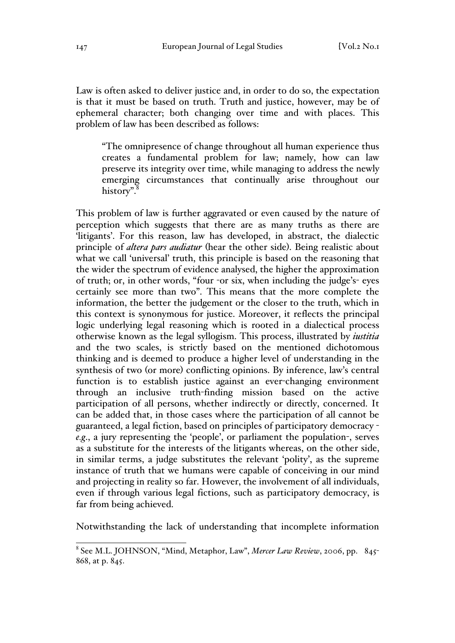Law is often asked to deliver justice and, in order to do so, the expectation is that it must be based on truth. Truth and justice, however, may be of ephemeral character; both changing over time and with places. This problem of law has been described as follows:

"The omnipresence of change throughout all human experience thus creates a fundamental problem for law; namely, how can law preserve its integrity over time, while managing to address the newly emerging circumstances that continually arise throughout our history".<sup>8</sup>

This problem of law is further aggravated or even caused by the nature of perception which suggests that there are as many truths as there are 'litigants'. For this reason, law has developed, in abstract, the dialectic principle of *altera pars audiatur* (hear the other side). Being realistic about what we call 'universal' truth, this principle is based on the reasoning that the wider the spectrum of evidence analysed, the higher the approximation of truth; or, in other words, "four -or six, when including the judge's- eyes certainly see more than two". This means that the more complete the information, the better the judgement or the closer to the truth, which in this context is synonymous for justice. Moreover, it reflects the principal logic underlying legal reasoning which is rooted in a dialectical process otherwise known as the legal syllogism. This process, illustrated by *iustitia* and the two scales, is strictly based on the mentioned dichotomous thinking and is deemed to produce a higher level of understanding in the synthesis of two (or more) conflicting opinions. By inference, law's central function is to establish justice against an ever-changing environment through an inclusive truth-finding mission based on the active participation of all persons, whether indirectly or directly, concerned. It can be added that, in those cases where the participation of all cannot be guaranteed, a legal fiction, based on principles of participatory democracy *e.g*., a jury representing the 'people', or parliament the population-, serves as a substitute for the interests of the litigants whereas, on the other side, in similar terms, a judge substitutes the relevant 'polity', as the supreme instance of truth that we humans were capable of conceiving in our mind and projecting in reality so far. However, the involvement of all individuals, even if through various legal fictions, such as participatory democracy, is far from being achieved.

Notwithstanding the lack of understanding that incomplete information

 <sup>8</sup> See M.L. JOHNSON, "Mind, Metaphor, Law", *Mercer Law Review*, 2006, pp. <sup>845</sup>- 868, at p. 845.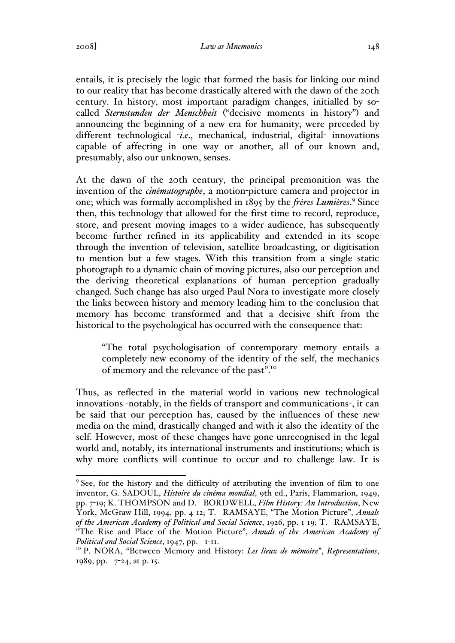2008] *Law as Mnemonics* 148

entails, it is precisely the logic that formed the basis for linking our mind to our reality that has become drastically altered with the dawn of the 20th century. In history, most important paradigm changes, initialled by socalled *Sternstunden der Menschheit* ("decisive moments in history") and announcing the beginning of a new era for humanity, were preceded by different technological -*i.e*., mechanical, industrial, digital- innovations capable of affecting in one way or another, all of our known and, presumably, also our unknown, senses.

At the dawn of the 20th century, the principal premonition was the invention of the *cinématographe*, a motion-picture camera and projector in one; which was formally accomplished in 1895 by the *frères Lumières*. <sup>9</sup> Since then, this technology that allowed for the first time to record, reproduce, store, and present moving images to a wider audience, has subsequently become further refined in its applicability and extended in its scope through the invention of television, satellite broadcasting, or digitisation to mention but a few stages. With this transition from a single static photograph to a dynamic chain of moving pictures, also our perception and the deriving theoretical explanations of human perception gradually changed. Such change has also urged Paul Nora to investigate more closely the links between history and memory leading him to the conclusion that memory has become transformed and that a decisive shift from the historical to the psychological has occurred with the consequence that:

"The total psychologisation of contemporary memory entails a completely new economy of the identity of the self, the mechanics of memory and the relevance of the past".<sup>10</sup>

Thus, as reflected in the material world in various new technological innovations -notably, in the fields of transport and communications-, it can be said that our perception has, caused by the influences of these new media on the mind, drastically changed and with it also the identity of the self. However, most of these changes have gone unrecognised in the legal world and, notably, its international instruments and institutions; which is why more conflicts will continue to occur and to challenge law. It is

<sup>&</sup>lt;sup>9</sup> See, for the history and the difficulty of attributing the invention of film to one inventor, G. SADOUL, *Histoire du cinéma mondial*, 9th ed., Paris, Flammarion, 1949, pp. 7-19; K. THOMPSON and D. BORDWELL, *Film History: An Introduction*, New York, McGraw-Hill, 1994, pp. 4-12; T. RAMSAYE, "The Motion Picture", *Annals of the American Academy of Political and Social Science*, 1926, pp. 1-19; T. RAMSAYE, "The Rise and Place of the Motion Picture", *Annals of the American Academy of* 

*Political and Social Science*, 1947, pp. 1-11.<br><sup>10</sup> P. NORA, "Between Memory and History: *Les lieux de mémoire*", *Representations*, 1989, pp. 7-24, at p. 15.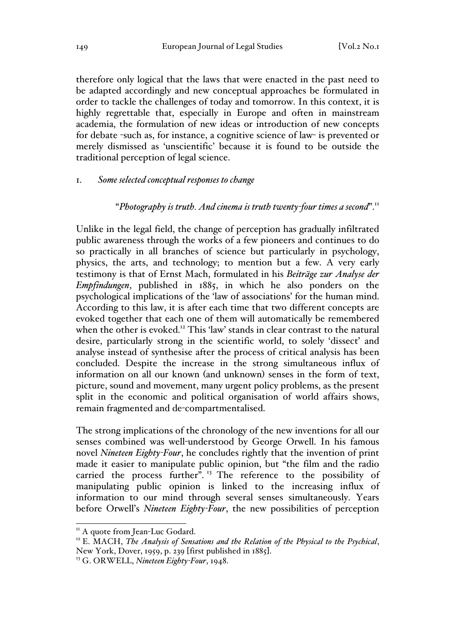therefore only logical that the laws that were enacted in the past need to be adapted accordingly and new conceptual approaches be formulated in order to tackle the challenges of today and tomorrow. In this context, it is highly regrettable that, especially in Europe and often in mainstream academia, the formulation of new ideas or introduction of new concepts for debate -such as, for instance, a cognitive science of law- is prevented or merely dismissed as 'unscientific' because it is found to be outside the traditional perception of legal science.

#### 1. *Some selected conceptual responses to change*

### "*Photography is truth. And cinema is truth twenty-four times a second*".11

Unlike in the legal field, the change of perception has gradually infiltrated public awareness through the works of a few pioneers and continues to do so practically in all branches of science but particularly in psychology, physics, the arts, and technology; to mention but a few. A very early testimony is that of Ernst Mach, formulated in his *Beiträge zur Analyse der Empfindungen*, published in 1885, in which he also ponders on the psychological implications of the 'law of associations' for the human mind. According to this law, it is after each time that two different concepts are evoked together that each one of them will automatically be remembered when the other is evoked.<sup>12</sup> This 'law' stands in clear contrast to the natural desire, particularly strong in the scientific world, to solely 'dissect' and analyse instead of synthesise after the process of critical analysis has been concluded. Despite the increase in the strong simultaneous influx of information on all our known (and unknown) senses in the form of text, picture, sound and movement, many urgent policy problems, as the present split in the economic and political organisation of world affairs shows, remain fragmented and de-compartmentalised.

The strong implications of the chronology of the new inventions for all our senses combined was well-understood by George Orwell. In his famous novel *Nineteen Eighty-Four*, he concludes rightly that the invention of print made it easier to manipulate public opinion, but "the film and the radio carried the process further".<sup>13</sup> The reference to the possibility of manipulating public opinion is linked to the increasing influx of information to our mind through several senses simultaneously. Years before Orwell's *Nineteen Eighty-Four*, the new possibilities of perception

<sup>&</sup>lt;sup>11</sup> A quote from Jean-Luc Godard.<br><sup>12</sup> E. MACH, *The Analysis of Sensations and the Relation of the Physical to the Psychical*, New York, Dover, 1959, p. 239 [first published in 1885]. <sup>13</sup> G. ORWELL, *Nineteen Eighty-Four*, 1948.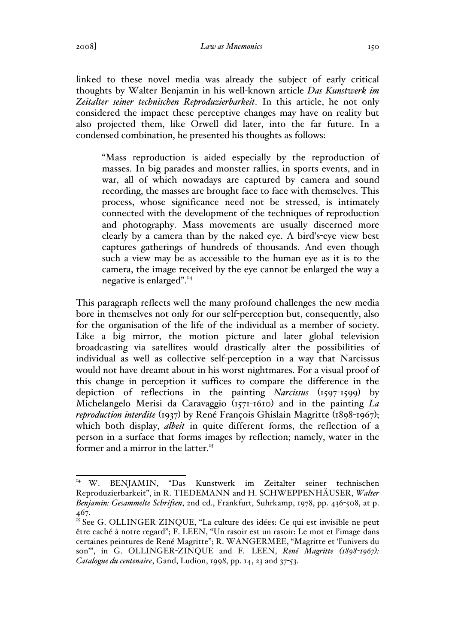linked to these novel media was already the subject of early critical thoughts by Walter Benjamin in his well-known article *Das Kunstwerk im Zeitalter seiner technischen Reproduzierbarkeit*. In this article, he not only considered the impact these perceptive changes may have on reality but also projected them, like Orwell did later, into the far future. In a condensed combination, he presented his thoughts as follows:

"Mass reproduction is aided especially by the reproduction of masses. In big parades and monster rallies, in sports events, and in war, all of which nowadays are captured by camera and sound recording, the masses are brought face to face with themselves. This process, whose significance need not be stressed, is intimately connected with the development of the techniques of reproduction and photography. Mass movements are usually discerned more clearly by a camera than by the naked eye. A bird's-eye view best captures gatherings of hundreds of thousands. And even though such a view may be as accessible to the human eye as it is to the camera, the image received by the eye cannot be enlarged the way a negative is enlarged".14

This paragraph reflects well the many profound challenges the new media bore in themselves not only for our self-perception but, consequently, also for the organisation of the life of the individual as a member of society. Like a big mirror, the motion picture and later global television broadcasting via satellites would drastically alter the possibilities of individual as well as collective self-perception in a way that Narcissus would not have dreamt about in his worst nightmares. For a visual proof of this change in perception it suffices to compare the difference in the depiction of reflections in the painting *Narcissus* (1597-1599) by Michelangelo Merisi da Caravaggio (1571-1610) and in the painting *La reproduction interdite* (1937) by René François Ghislain Magritte (1898-1967); which both display, *albeit* in quite different forms, the reflection of a person in a surface that forms images by reflection; namely, water in the former and a mirror in the latter.<sup>15</sup>

 <sup>14</sup> W. BENJAMIN, "Das Kunstwerk im Zeitalter seiner technischen Reproduzierbarkeit", in R. TIEDEMANN and H. SCHWEPPENHÄUSER, *Walter Benjamin: Gesammelte Schriften*, 2nd ed., Frankfurt, Suhrkamp, 1978, pp. 436-508, at p. 467.

 $15$  See G. OLLINGER-ZINQUE, "La culture des idées: Ce qui est invisible ne peut être caché à notre regard"; F. LEEN, "Un rasoir est un rasoir: Le mot et l'image dans certaines peintures de René Magritte"; R. WANGERMEE, "Magritte et 'l'univers du son'", in G. OLLINGER-ZINQUE and F. LEEN, *René Magritte (1898-1967): Catalogue du centenaire*, Gand, Ludion, 1998, pp. 14, 23 and 37-53.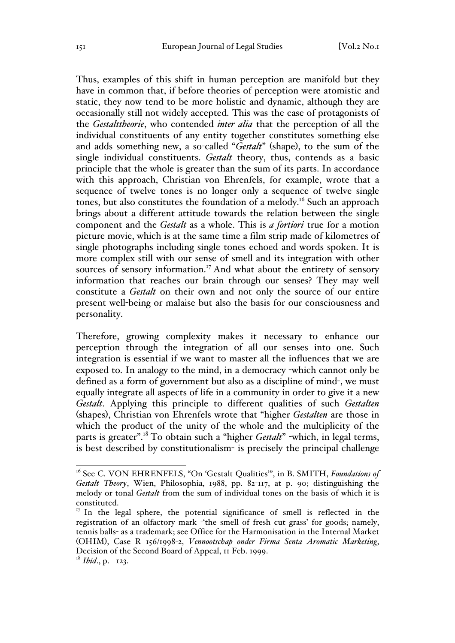Thus, examples of this shift in human perception are manifold but they have in common that, if before theories of perception were atomistic and static, they now tend to be more holistic and dynamic, although they are occasionally still not widely accepted. This was the case of protagonists of the *Gestalttheorie*, who contended *inter alia* that the perception of all the individual constituents of any entity together constitutes something else and adds something new, a so-called "*Gestalt*" (shape), to the sum of the single individual constituents. *Gestalt* theory, thus, contends as a basic principle that the whole is greater than the sum of its parts. In accordance with this approach, Christian von Ehrenfels, for example, wrote that a sequence of twelve tones is no longer only a sequence of twelve single tones, but also constitutes the foundation of a melody.<sup>16</sup> Such an approach brings about a different attitude towards the relation between the single component and the *Gestalt* as a whole. This is *a fortiori* true for a motion picture movie, which is at the same time a film strip made of kilometres of single photographs including single tones echoed and words spoken. It is more complex still with our sense of smell and its integration with other sources of sensory information.<sup>17</sup> And what about the entirety of sensory information that reaches our brain through our senses? They may well constitute a *Gestalt* on their own and not only the source of our entire present well-being or malaise but also the basis for our consciousness and personality.

Therefore, growing complexity makes it necessary to enhance our perception through the integration of all our senses into one. Such integration is essential if we want to master all the influences that we are exposed to. In analogy to the mind, in a democracy -which cannot only be defined as a form of government but also as a discipline of mind-, we must equally integrate all aspects of life in a community in order to give it a new *Gestalt*. Applying this principle to different qualities of such *Gestalten* (shapes), Christian von Ehrenfels wrote that "higher *Gestalten* are those in which the product of the unity of the whole and the multiplicity of the parts is greater".18 To obtain such a "higher *Gestalt*" -which, in legal terms, is best described by constitutionalism- is precisely the principal challenge

<sup>&</sup>lt;sup>16</sup> See C. VON EHRENFELS, "On 'Gestalt Qualities", in B. SMITH, *Foundations of Gestalt Theory*, Wien, Philosophia, 1988, pp. 82-117, at p. 90; distinguishing the melody or tonal *Gestalt* from the sum of individual tones on the basis of which it is constituted.

<sup>&</sup>lt;sup>17</sup> In the legal sphere, the potential significance of smell is reflected in the registration of an olfactory mark -'the smell of fresh cut grass' for goods; namely, tennis balls- as a trademark; see Office for the Harmonisation in the Internal Market (OHIM), Case R 156/1998-2, *Vennootschap onder Firma Senta Aromatic Marketing*, Decision of the Second Board of Appeal, 11 Feb. 1999.

 $18$  *Ibid.*, p. 123.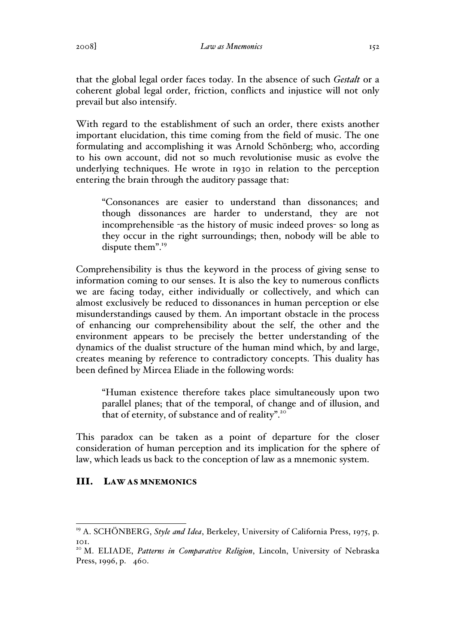that the global legal order faces today. In the absence of such *Gestalt* or a coherent global legal order, friction, conflicts and injustice will not only prevail but also intensify.

With regard to the establishment of such an order, there exists another important elucidation, this time coming from the field of music. The one formulating and accomplishing it was Arnold Schönberg; who, according to his own account, did not so much revolutionise music as evolve the underlying techniques. He wrote in 1930 in relation to the perception entering the brain through the auditory passage that:

"Consonances are easier to understand than dissonances; and though dissonances are harder to understand, they are not incomprehensible -as the history of music indeed proves- so long as they occur in the right surroundings; then, nobody will be able to dispute them".<sup>19</sup>

Comprehensibility is thus the keyword in the process of giving sense to information coming to our senses. It is also the key to numerous conflicts we are facing today, either individually or collectively, and which can almost exclusively be reduced to dissonances in human perception or else misunderstandings caused by them. An important obstacle in the process of enhancing our comprehensibility about the self, the other and the environment appears to be precisely the better understanding of the dynamics of the dualist structure of the human mind which, by and large, creates meaning by reference to contradictory concepts. This duality has been defined by Mircea Eliade in the following words:

"Human existence therefore takes place simultaneously upon two parallel planes; that of the temporal, of change and of illusion, and that of eternity, of substance and of reality".<sup>20</sup>

This paradox can be taken as a point of departure for the closer consideration of human perception and its implication for the sphere of law, which leads us back to the conception of law as a mnemonic system.

## III. LAW AS MNEMONICS

<sup>&</sup>lt;sup>19</sup> A. SCHÖNBERG, *Style and Idea*, Berkeley, University of California Press, 1975, p. 101.

<sup>&</sup>lt;sup>20</sup> M. ELIADE, Patterns in Comparative Religion, Lincoln, University of Nebraska Press, 1996, p. 460.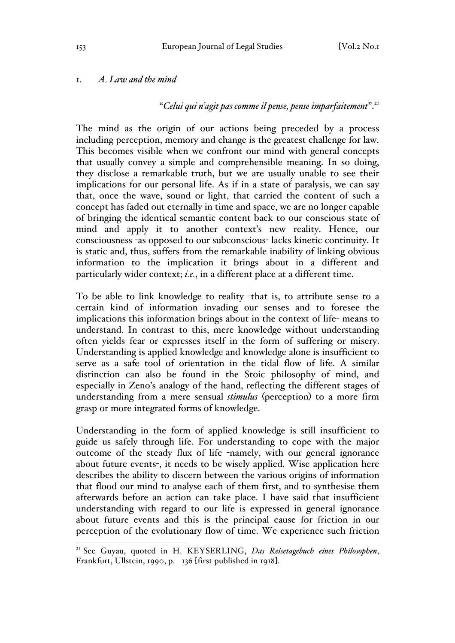## 1. *A. Law and the mind*

## "*Celui qui n'agit pas comme il pense, pense imparfaitement*".<sup>21</sup>

The mind as the origin of our actions being preceded by a process including perception, memory and change is the greatest challenge for law. This becomes visible when we confront our mind with general concepts that usually convey a simple and comprehensible meaning. In so doing, they disclose a remarkable truth, but we are usually unable to see their implications for our personal life. As if in a state of paralysis, we can say that, once the wave, sound or light, that carried the content of such a concept has faded out eternally in time and space, we are no longer capable of bringing the identical semantic content back to our conscious state of mind and apply it to another context's new reality. Hence, our consciousness -as opposed to our subconscious- lacks kinetic continuity. It is static and, thus, suffers from the remarkable inability of linking obvious information to the implication it brings about in a different and particularly wider context; *i.e.*, in a different place at a different time.

To be able to link knowledge to reality -that is, to attribute sense to a certain kind of information invading our senses and to foresee the implications this information brings about in the context of life- means to understand. In contrast to this, mere knowledge without understanding often yields fear or expresses itself in the form of suffering or misery. Understanding is applied knowledge and knowledge alone is insufficient to serve as a safe tool of orientation in the tidal flow of life. A similar distinction can also be found in the Stoic philosophy of mind, and especially in Zeno's analogy of the hand, reflecting the different stages of understanding from a mere sensual *stimulus* (perception) to a more firm grasp or more integrated forms of knowledge.

Understanding in the form of applied knowledge is still insufficient to guide us safely through life. For understanding to cope with the major outcome of the steady flux of life -namely, with our general ignorance about future events-, it needs to be wisely applied. Wise application here describes the ability to discern between the various origins of information that flood our mind to analyse each of them first, and to synthesise them afterwards before an action can take place. I have said that insufficient understanding with regard to our life is expressed in general ignorance about future events and this is the principal cause for friction in our perception of the evolutionary flow of time. We experience such friction

 <sup>21</sup> See Guyau, quoted in H. KEYSERLING, *Das Reisetagebuch eines Philosophen*, Frankfurt, Ullstein, 1990, p. 136 [first published in 1918].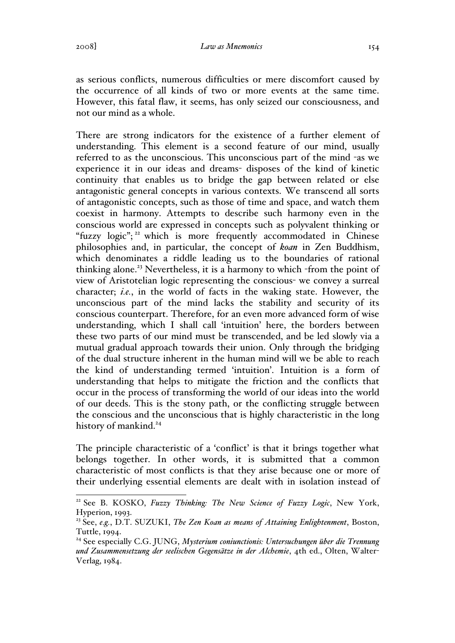as serious conflicts, numerous difficulties or mere discomfort caused by the occurrence of all kinds of two or more events at the same time. However, this fatal flaw, it seems, has only seized our consciousness, and not our mind as a whole.

There are strong indicators for the existence of a further element of understanding. This element is a second feature of our mind, usually referred to as the unconscious. This unconscious part of the mind -as we experience it in our ideas and dreams- disposes of the kind of kinetic continuity that enables us to bridge the gap between related or else antagonistic general concepts in various contexts. We transcend all sorts of antagonistic concepts, such as those of time and space, and watch them coexist in harmony. Attempts to describe such harmony even in the conscious world are expressed in concepts such as polyvalent thinking or "fuzzy  $logic$ ";<sup>22</sup> which is more frequently accommodated in Chinese philosophies and, in particular, the concept of *koan* in Zen Buddhism, which denominates a riddle leading us to the boundaries of rational thinking alone.<sup>23</sup> Nevertheless, it is a harmony to which -from the point of view of Aristotelian logic representing the conscious- we convey a surreal character; *i.e.*, in the world of facts in the waking state. However, the unconscious part of the mind lacks the stability and security of its conscious counterpart. Therefore, for an even more advanced form of wise understanding, which I shall call 'intuition' here, the borders between these two parts of our mind must be transcended, and be led slowly via a mutual gradual approach towards their union. Only through the bridging of the dual structure inherent in the human mind will we be able to reach the kind of understanding termed 'intuition'. Intuition is a form of understanding that helps to mitigate the friction and the conflicts that occur in the process of transforming the world of our ideas into the world of our deeds. This is the stony path, or the conflicting struggle between the conscious and the unconscious that is highly characteristic in the long history of mankind.<sup>24</sup>

The principle characteristic of a 'conflict' is that it brings together what belongs together. In other words, it is submitted that a common characteristic of most conflicts is that they arise because one or more of their underlying essential elements are dealt with in isolation instead of

<sup>&</sup>lt;sup>22</sup> See B. KOSKO, *Fuzzy Thinking: The New Science of Fuzzy Logic*, New York, Hyperion, 1993.

<sup>23</sup> See, *e.g.*, D.T. SUZUKI, *The Zen Koan as means of Attaining Enlightenment*, Boston, Tuttle, 1994.

<sup>24</sup> See especially C.G. JUNG, *Mysterium coniunctionis: Untersuchungen über die Trennung und Zusammensetzung der seelischen Gegensätze in der Alchemie*, 4th ed., Olten, Walter-Verlag, 1984.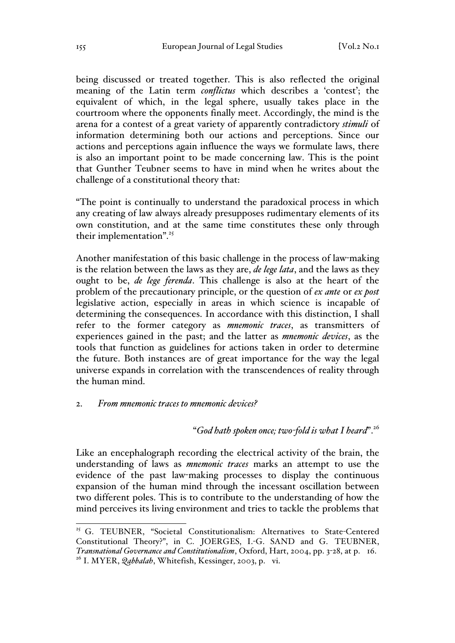being discussed or treated together. This is also reflected the original meaning of the Latin term *conflictus* which describes a 'contest'; the equivalent of which, in the legal sphere, usually takes place in the courtroom where the opponents finally meet. Accordingly, the mind is the arena for a contest of a great variety of apparently contradictory *stimuli* of information determining both our actions and perceptions. Since our actions and perceptions again influence the ways we formulate laws, there is also an important point to be made concerning law. This is the point that Gunther Teubner seems to have in mind when he writes about the challenge of a constitutional theory that:

"The point is continually to understand the paradoxical process in which any creating of law always already presupposes rudimentary elements of its own constitution, and at the same time constitutes these only through their implementation".<sup>25</sup>

Another manifestation of this basic challenge in the process of law-making is the relation between the laws as they are, *de lege lata*, and the laws as they ought to be, *de lege ferenda*. This challenge is also at the heart of the problem of the precautionary principle, or the question of *ex ante* or *ex post* legislative action, especially in areas in which science is incapable of determining the consequences. In accordance with this distinction, I shall refer to the former category as *mnemonic traces*, as transmitters of experiences gained in the past; and the latter as *mnemonic devices*, as the tools that function as guidelines for actions taken in order to determine the future. Both instances are of great importance for the way the legal universe expands in correlation with the transcendences of reality through the human mind.

### 2. *From mnemonic traces to mnemonic devices?*

#### "*God hath spoken once; two-fold is what I heard*".<sup>26</sup>

Like an encephalograph recording the electrical activity of the brain, the understanding of laws as *mnemonic traces* marks an attempt to use the evidence of the past law-making processes to display the continuous expansion of the human mind through the incessant oscillation between two different poles. This is to contribute to the understanding of how the mind perceives its living environment and tries to tackle the problems that

<sup>&</sup>lt;sup>25</sup> G. TEUBNER, "Societal Constitutionalism: Alternatives to State-Centered Constitutional Theory?", in C. JOERGES, I.-G. SAND and G. TEUBNER, *Transnational Governance and Constitutionalism*, Oxford, Hart, 2004, pp. 3-28, at p. 16. <sup>26</sup> I. MYER, *Qabbalah*, Whitefish, Kessinger, 2003, p. vi.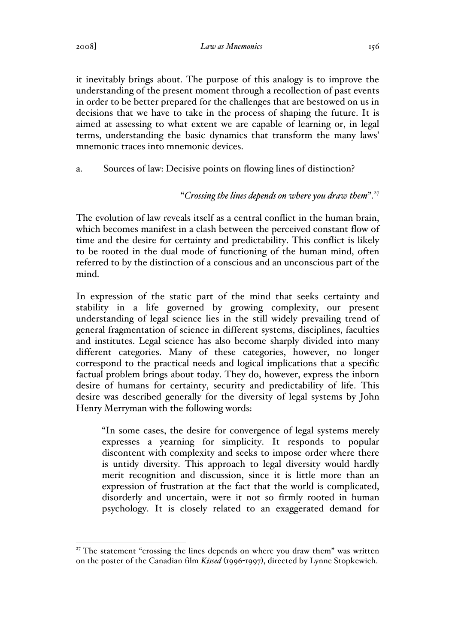2008] *Law as Mnemonics* 156

it inevitably brings about. The purpose of this analogy is to improve the understanding of the present moment through a recollection of past events in order to be better prepared for the challenges that are bestowed on us in decisions that we have to take in the process of shaping the future. It is aimed at assessing to what extent we are capable of learning or, in legal terms, understanding the basic dynamics that transform the many laws' mnemonic traces into mnemonic devices.

# a. Sources of law: Decisive points on flowing lines of distinction?

# "*Crossing the lines depends on where you draw them*".<sup>27</sup>

The evolution of law reveals itself as a central conflict in the human brain, which becomes manifest in a clash between the perceived constant flow of time and the desire for certainty and predictability. This conflict is likely to be rooted in the dual mode of functioning of the human mind, often referred to by the distinction of a conscious and an unconscious part of the mind.

In expression of the static part of the mind that seeks certainty and stability in a life governed by growing complexity, our present understanding of legal science lies in the still widely prevailing trend of general fragmentation of science in different systems, disciplines, faculties and institutes. Legal science has also become sharply divided into many different categories. Many of these categories, however, no longer correspond to the practical needs and logical implications that a specific factual problem brings about today. They do, however, express the inborn desire of humans for certainty, security and predictability of life. This desire was described generally for the diversity of legal systems by John Henry Merryman with the following words:

"In some cases, the desire for convergence of legal systems merely expresses a yearning for simplicity. It responds to popular discontent with complexity and seeks to impose order where there is untidy diversity. This approach to legal diversity would hardly merit recognition and discussion, since it is little more than an expression of frustration at the fact that the world is complicated, disorderly and uncertain, were it not so firmly rooted in human psychology. It is closely related to an exaggerated demand for

 $27$  The statement "crossing the lines depends on where you draw them" was written on the poster of the Canadian film *Kissed* (1996-1997), directed by Lynne Stopkewich.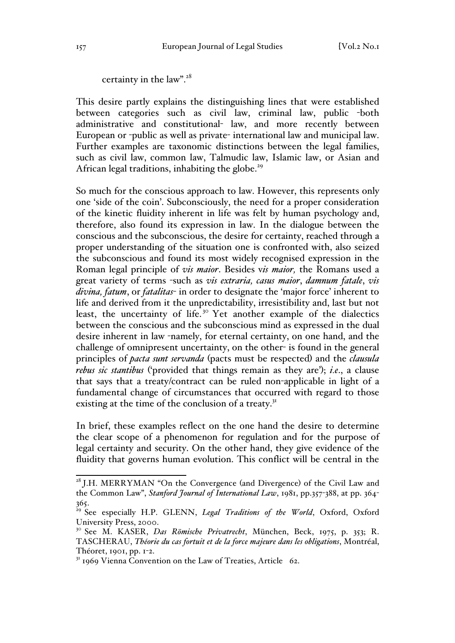certainty in the law".<sup>28</sup>

This desire partly explains the distinguishing lines that were established between categories such as civil law, criminal law, public -both administrative and constitutional- law, and more recently between European or -public as well as private- international law and municipal law. Further examples are taxonomic distinctions between the legal families, such as civil law, common law, Talmudic law, Islamic law, or Asian and African legal traditions, inhabiting the globe.<sup>29</sup>

So much for the conscious approach to law. However, this represents only one 'side of the coin'. Subconsciously, the need for a proper consideration of the kinetic fluidity inherent in life was felt by human psychology and, therefore, also found its expression in law. In the dialogue between the conscious and the subconscious, the desire for certainty, reached through a proper understanding of the situation one is confronted with, also seized the subconscious and found its most widely recognised expression in the Roman legal principle of *vis maior*. Besides v*is maior,* the Romans used a great variety of terms -such as *vis extraria, casus maior*, *damnum fatale*, *vis divina, fatum*, or *fatalitas*- in order to designate the 'major force' inherent to life and derived from it the unpredictability, irresistibility and, last but not least, the uncertainty of life.<sup>30</sup> Yet another example of the dialectics between the conscious and the subconscious mind as expressed in the dual desire inherent in law -namely, for eternal certainty, on one hand, and the challenge of omnipresent uncertainty, on the other- is found in the general principles of *pacta sunt servanda* (pacts must be respected) and the *clausula rebus sic stantibus* ('provided that things remain as they are'); *i.e*., a clause that says that a treaty/contract can be ruled non-applicable in light of a fundamental change of circumstances that occurred with regard to those existing at the time of the conclusion of a treaty. $3<sup>T</sup>$ 

In brief, these examples reflect on the one hand the desire to determine the clear scope of a phenomenon for regulation and for the purpose of legal certainty and security. On the other hand, they give evidence of the fluidity that governs human evolution. This conflict will be central in the

<sup>&</sup>lt;sup>28</sup> J.H. MERRYMAN "On the Convergence (and Divergence) of the Civil Law and the Common Law", *Stanford Journal of International Law*, 1981, pp.357-388, at pp. 364- 365.

<sup>&</sup>lt;sup>29</sup> See especially H.P. GLENN, *Legal Traditions of the World*, Oxford, Oxford University Press, 2000.

<sup>30</sup> See M. KASER, *Das Römische Privatrecht*, München, Beck, 1975, p. 353; R. TASCHERAU, *Théorie du cas fortuit et de la force majeure dans les obligations*, Montréal, Théoret, 1901, pp. 1-2.

 $3<sup>1</sup>$  1969 Vienna Convention on the Law of Treaties, Article 62.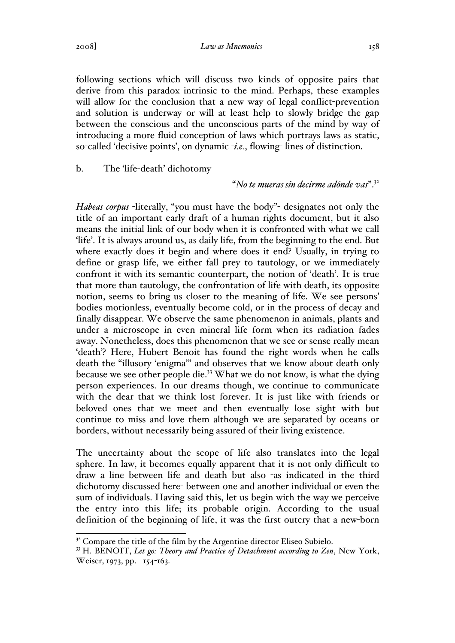2008] *Law as Mnemonics* 158

following sections which will discuss two kinds of opposite pairs that derive from this paradox intrinsic to the mind. Perhaps, these examples will allow for the conclusion that a new way of legal conflict-prevention and solution is underway or will at least help to slowly bridge the gap between the conscious and the unconscious parts of the mind by way of introducing a more fluid conception of laws which portrays laws as static, so-called 'decisive points', on dynamic -*i.e.*, flowing- lines of distinction.

b. The 'life-death' dichotomy

"*No te mueras sin decirme adónde vas*".<sup>32</sup>

*Habeas corpus* -literally, "you must have the body"- designates not only the title of an important early draft of a human rights document, but it also means the initial link of our body when it is confronted with what we call 'life'. It is always around us, as daily life, from the beginning to the end. But where exactly does it begin and where does it end? Usually, in trying to define or grasp life, we either fall prey to tautology, or we immediately confront it with its semantic counterpart, the notion of 'death'. It is true that more than tautology, the confrontation of life with death, its opposite notion, seems to bring us closer to the meaning of life. We see persons' bodies motionless, eventually become cold, or in the process of decay and finally disappear. We observe the same phenomenon in animals, plants and under a microscope in even mineral life form when its radiation fades away. Nonetheless, does this phenomenon that we see or sense really mean 'death'? Here, Hubert Benoit has found the right words when he calls death the "illusory 'enigma'" and observes that we know about death only because we see other people die.<sup>33</sup> What we do not know, is what the dying person experiences. In our dreams though, we continue to communicate with the dear that we think lost forever. It is just like with friends or beloved ones that we meet and then eventually lose sight with but continue to miss and love them although we are separated by oceans or borders, without necessarily being assured of their living existence.

The uncertainty about the scope of life also translates into the legal sphere. In law, it becomes equally apparent that it is not only difficult to draw a line between life and death but also -as indicated in the third dichotomy discussed here- between one and another individual or even the sum of individuals. Having said this, let us begin with the way we perceive the entry into this life; its probable origin. According to the usual definition of the beginning of life, it was the first outcry that a new-born

 $32^{\circ}$  Compare the title of the film by the Argentine director Eliseo Subielo.

<sup>33</sup> H. BENOIT, *Let go: Theory and Practice of Detachment according to Zen*, New York, Weiser, 1973, pp. 154-163.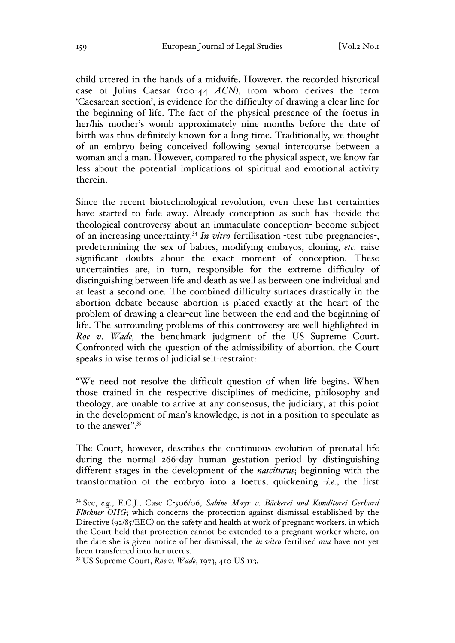child uttered in the hands of a midwife. However, the recorded historical case of Julius Caesar (100-44 *ACN*), from whom derives the term 'Caesarean section', is evidence for the difficulty of drawing a clear line for the beginning of life. The fact of the physical presence of the foetus in her/his mother's womb approximately nine months before the date of birth was thus definitely known for a long time. Traditionally, we thought of an embryo being conceived following sexual intercourse between a woman and a man. However, compared to the physical aspect, we know far less about the potential implications of spiritual and emotional activity therein.

Since the recent biotechnological revolution, even these last certainties have started to fade away. Already conception as such has -beside the theological controversy about an immaculate conception- become subject of an increasing uncertainty.34 *In vitro* fertilisation -test tube pregnancies-, predetermining the sex of babies, modifying embryos, cloning, *etc.* raise significant doubts about the exact moment of conception. These uncertainties are, in turn, responsible for the extreme difficulty of distinguishing between life and death as well as between one individual and at least a second one. The combined difficulty surfaces drastically in the abortion debate because abortion is placed exactly at the heart of the problem of drawing a clear-cut line between the end and the beginning of life. The surrounding problems of this controversy are well highlighted in *Roe v. Wade,* the benchmark judgment of the US Supreme Court. Confronted with the question of the admissibility of abortion, the Court speaks in wise terms of judicial self-restraint:

"We need not resolve the difficult question of when life begins. When those trained in the respective disciplines of medicine, philosophy and theology, are unable to arrive at any consensus, the judiciary, at this point in the development of man's knowledge, is not in a position to speculate as to the answer".<sup>35</sup>

The Court, however, describes the continuous evolution of prenatal life during the normal 266-day human gestation period by distinguishing different stages in the development of the *nasciturus*; beginning with the transformation of the embryo into a foetus, quickening -*i.e.*, the first

 <sup>34</sup> See, *e.g*., E.C.J., Case C-506/06, *Sabine Mayr v. Bäckerei und Konditorei Gerhard Flöckner OHG*; which concerns the protection against dismissal established by the Directive (92/85/EEC) on the safety and health at work of pregnant workers, in which the Court held that protection cannot be extended to a pregnant worker where, on the date she is given notice of her dismissal, the *in vitro* fertilised *ova* have not yet been transferred into her uterus.

<sup>35</sup> US Supreme Court, *Roe v. Wade*, 1973, 410 US 113.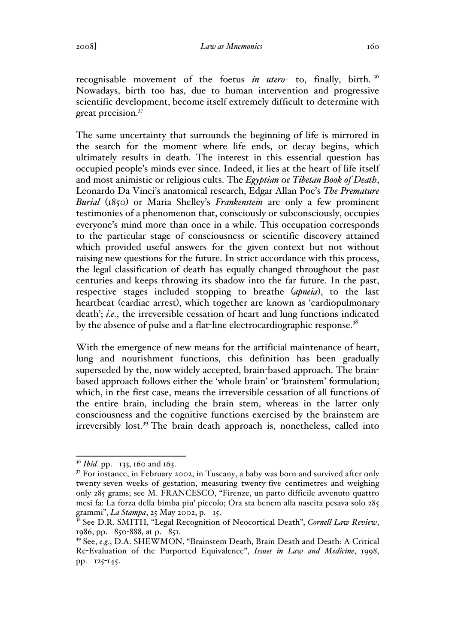recognisable movement of the foetus *in utero*- to, finally, birth. 36 Nowadays, birth too has, due to human intervention and progressive scientific development, become itself extremely difficult to determine with great precision.<sup>37</sup>

The same uncertainty that surrounds the beginning of life is mirrored in the search for the moment where life ends, or decay begins, which ultimately results in death. The interest in this essential question has occupied people's minds ever since. Indeed, it lies at the heart of life itself and most animistic or religious cults. The *Egyptian* or *Tibetan Book of Death*, Leonardo Da Vinci's anatomical research, Edgar Allan Poe's *The Premature Burial* (1850) or Maria Shelley's *Frankenstein* are only a few prominent testimonies of a phenomenon that, consciously or subconsciously, occupies everyone's mind more than once in a while. This occupation corresponds to the particular stage of consciousness or scientific discovery attained which provided useful answers for the given context but not without raising new questions for the future. In strict accordance with this process, the legal classification of death has equally changed throughout the past centuries and keeps throwing its shadow into the far future. In the past, respective stages included stopping to breathe (*apneia*), to the last heartbeat (cardiac arrest), which together are known as 'cardiopulmonary death'; *i.e.*, the irreversible cessation of heart and lung functions indicated by the absence of pulse and a flat-line electrocardiographic response.<sup>38</sup>

With the emergence of new means for the artificial maintenance of heart, lung and nourishment functions, this definition has been gradually superseded by the, now widely accepted, brain-based approach. The brainbased approach follows either the 'whole brain' or 'brainstem' formulation; which, in the first case, means the irreversible cessation of all functions of the entire brain, including the brain stem, whereas in the latter only consciousness and the cognitive functions exercised by the brainstem are irreversibly lost.<sup>39</sup> The brain death approach is, nonetheless, called into

<sup>&</sup>lt;sup>36</sup> *Ibid*. pp. 133, 160 and 163.

<sup>&</sup>lt;sup>37</sup> For instance, in February 2002, in Tuscany, a baby was born and survived after only twenty-seven weeks of gestation, measuring twenty-five centimetres and weighing only 285 grams; see M. FRANCESCO, "Firenze, un parto difficile avvenuto quattro mesi fa: La forza della bimba piu' piccolo; Ora sta benem alla nascita pesava solo 285 grammi", *La Stampa*, 25 May 2002, p. 15.

<sup>&</sup>lt;sup>38</sup> See D.R. SMITH, "Legal Recognition of Neocortical Death", *Cornell Law Review*, 1986, pp. 850-888, at p. 851.

<sup>&</sup>lt;sup>39</sup> See, *e.g.*, D.A. SHEWMON, "Brainstem Death, Brain Death and Death: A Critical Re-Evaluation of the Purported Equivalence", *Issues in Law and Medicine*, 1998, pp. 125-145.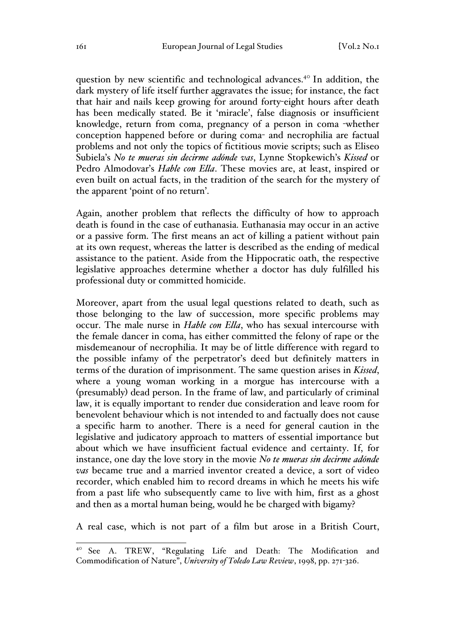question by new scientific and technological advances.<sup>40</sup> In addition, the dark mystery of life itself further aggravates the issue; for instance, the fact that hair and nails keep growing for around forty-eight hours after death has been medically stated. Be it 'miracle', false diagnosis or insufficient knowledge, return from coma, pregnancy of a person in coma -whether conception happened before or during coma- and necrophilia are factual problems and not only the topics of fictitious movie scripts; such as Eliseo Subiela's *No te mueras sin decirme adónde vas*, Lynne Stopkewich's *Kissed* or Pedro Almodovar's *Hable con Ella*. These movies are, at least, inspired or even built on actual facts, in the tradition of the search for the mystery of the apparent 'point of no return'.

Again, another problem that reflects the difficulty of how to approach death is found in the case of euthanasia. Euthanasia may occur in an active or a passive form. The first means an act of killing a patient without pain at its own request, whereas the latter is described as the ending of medical assistance to the patient. Aside from the Hippocratic oath, the respective legislative approaches determine whether a doctor has duly fulfilled his professional duty or committed homicide.

Moreover, apart from the usual legal questions related to death, such as those belonging to the law of succession, more specific problems may occur. The male nurse in *Hable con Ella*, who has sexual intercourse with the female dancer in coma, has either committed the felony of rape or the misdemeanour of necrophilia. It may be of little difference with regard to the possible infamy of the perpetrator's deed but definitely matters in terms of the duration of imprisonment. The same question arises in *Kissed*, where a young woman working in a morgue has intercourse with a (presumably) dead person. In the frame of law, and particularly of criminal law, it is equally important to render due consideration and leave room for benevolent behaviour which is not intended to and factually does not cause a specific harm to another. There is a need for general caution in the legislative and judicatory approach to matters of essential importance but about which we have insufficient factual evidence and certainty. If, for instance, one day the love story in the movie *No te mueras sin decirme adónde vas* became true and a married inventor created a device, a sort of video recorder, which enabled him to record dreams in which he meets his wife from a past life who subsequently came to live with him, first as a ghost and then as a mortal human being, would he be charged with bigamy?

A real case, which is not part of a film but arose in a British Court,

 <sup>40</sup> See A. TREW, "Regulating Life and Death: The Modification and Commodification of Nature", *University of Toledo Law Review*, 1998, pp. 271-326.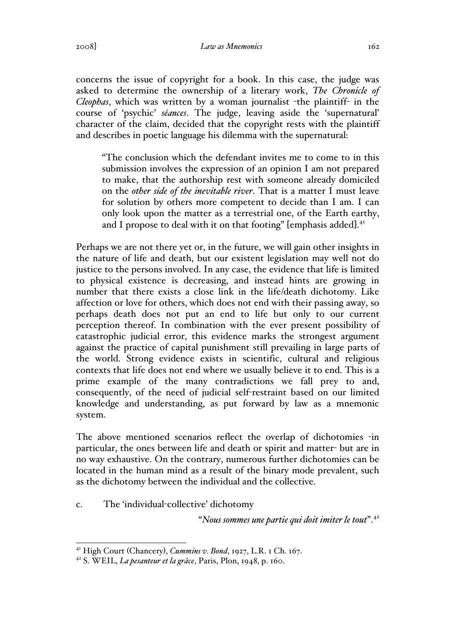2008] *Law as Mnemonics* 162

concerns the issue of copyright for a book. In this case, the judge was asked to determine the ownership of a literary work, *The Chronicle of Cleophas*, which was written by a woman journalist -the plaintiff- in the course of 'psychic' *séances*. The judge, leaving aside the 'supernatural' character of the claim, decided that the copyright rests with the plaintiff and describes in poetic language his dilemma with the supernatural:

"The conclusion which the defendant invites me to come to in this submission involves the expression of an opinion I am not prepared to make, that the authorship rest with someone already domiciled on the *other side of the inevitable river*. That is a matter I must leave for solution by others more competent to decide than I am. I can only look upon the matter as a terrestrial one, of the Earth earthy, and I propose to deal with it on that footing" [emphasis added].<sup>41</sup>

Perhaps we are not there yet or, in the future, we will gain other insights in the nature of life and death, but our existent legislation may well not do justice to the persons involved. In any case, the evidence that life is limited to physical existence is decreasing, and instead hints are growing in number that there exists a close link in the life/death dichotomy. Like affection or love for others, which does not end with their passing away, so perhaps death does not put an end to life but only to our current perception thereof. In combination with the ever present possibility of catastrophic judicial error, this evidence marks the strongest argument against the practice of capital punishment still prevailing in large parts of the world. Strong evidence exists in scientific, cultural and religious contexts that life does not end where we usually believe it to end. This is a prime example of the many contradictions we fall prey to and, consequently, of the need of judicial self-restraint based on our limited knowledge and understanding, as put forward by law as a mnemonic system.

The above mentioned scenarios reflect the overlap of dichotomies -in particular, the ones between life and death or spirit and matter- but are in no way exhaustive. On the contrary, numerous further dichotomies can be located in the human mind as a result of the binary mode prevalent, such as the dichotomy between the individual and the collective.

c. The 'individual-collective' dichotomy

"*Nous sommes une partie qui doit imiter le tout*".<sup>42</sup>

 <sup>41</sup> High Court (Chancery), *Cummins v. Bond*, 1927, L.R. 1 Ch. 167.

<sup>42</sup> S. WEIL, *La pesanteur et la grâce*, Paris, Plon, 1948, p. 160.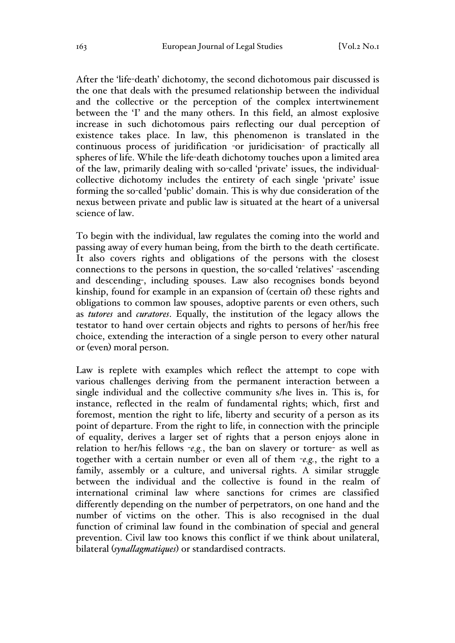After the 'life-death' dichotomy, the second dichotomous pair discussed is the one that deals with the presumed relationship between the individual and the collective or the perception of the complex intertwinement between the 'I' and the many others. In this field, an almost explosive increase in such dichotomous pairs reflecting our dual perception of existence takes place. In law, this phenomenon is translated in the continuous process of juridification -or juridicisation- of practically all spheres of life. While the life-death dichotomy touches upon a limited area of the law, primarily dealing with so-called 'private' issues, the individualcollective dichotomy includes the entirety of each single 'private' issue forming the so-called 'public' domain. This is why due consideration of the nexus between private and public law is situated at the heart of a universal science of law.

To begin with the individual, law regulates the coming into the world and passing away of every human being, from the birth to the death certificate. It also covers rights and obligations of the persons with the closest connections to the persons in question, the so-called 'relatives' -ascending and descending-, including spouses. Law also recognises bonds beyond kinship, found for example in an expansion of (certain of) these rights and obligations to common law spouses, adoptive parents or even others, such as *tutores* and *curatores*. Equally, the institution of the legacy allows the testator to hand over certain objects and rights to persons of her/his free choice, extending the interaction of a single person to every other natural or (even) moral person.

Law is replete with examples which reflect the attempt to cope with various challenges deriving from the permanent interaction between a single individual and the collective community s/he lives in. This is, for instance, reflected in the realm of fundamental rights; which, first and foremost, mention the right to life, liberty and security of a person as its point of departure. From the right to life, in connection with the principle of equality, derives a larger set of rights that a person enjoys alone in relation to her/his fellows -*e.g.*, the ban on slavery or torture- as well as together with a certain number or even all of them -*e.g.*, the right to a family, assembly or a culture, and universal rights. A similar struggle between the individual and the collective is found in the realm of international criminal law where sanctions for crimes are classified differently depending on the number of perpetrators, on one hand and the number of victims on the other. This is also recognised in the dual function of criminal law found in the combination of special and general prevention. Civil law too knows this conflict if we think about unilateral, bilateral (*synallagmatiques*) or standardised contracts.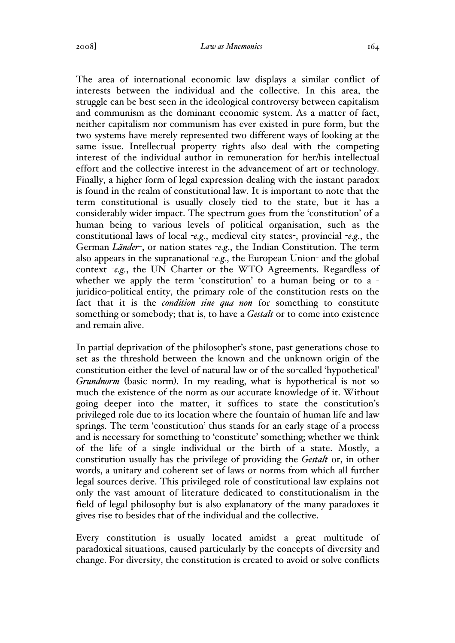The area of international economic law displays a similar conflict of interests between the individual and the collective. In this area, the struggle can be best seen in the ideological controversy between capitalism and communism as the dominant economic system. As a matter of fact, neither capitalism nor communism has ever existed in pure form, but the two systems have merely represented two different ways of looking at the same issue. Intellectual property rights also deal with the competing interest of the individual author in remuneration for her/his intellectual effort and the collective interest in the advancement of art or technology. Finally, a higher form of legal expression dealing with the instant paradox is found in the realm of constitutional law. It is important to note that the term constitutional is usually closely tied to the state, but it has a considerably wider impact. The spectrum goes from the 'constitution' of a human being to various levels of political organisation, such as the constitutional laws of local -*e.g*., medieval city states-, provincial -*e.g.*, the German *Länder*-, or nation states -*e.g*., the Indian Constitution. The term also appears in the supranational -*e.g.*, the European Union- and the global context -*e.g.*, the UN Charter or the WTO Agreements. Regardless of whether we apply the term 'constitution' to a human being or to a juridico-political entity, the primary role of the constitution rests on the fact that it is the *condition sine qua non* for something to constitute something or somebody; that is, to have a *Gestalt* or to come into existence and remain alive.

In partial deprivation of the philosopher's stone, past generations chose to set as the threshold between the known and the unknown origin of the constitution either the level of natural law or of the so-called 'hypothetical' *Grundnorm* (basic norm). In my reading, what is hypothetical is not so much the existence of the norm as our accurate knowledge of it. Without going deeper into the matter, it suffices to state the constitution's privileged role due to its location where the fountain of human life and law springs. The term 'constitution' thus stands for an early stage of a process and is necessary for something to 'constitute' something; whether we think of the life of a single individual or the birth of a state. Mostly, a constitution usually has the privilege of providing the *Gestalt* or, in other words, a unitary and coherent set of laws or norms from which all further legal sources derive. This privileged role of constitutional law explains not only the vast amount of literature dedicated to constitutionalism in the field of legal philosophy but is also explanatory of the many paradoxes it gives rise to besides that of the individual and the collective.

Every constitution is usually located amidst a great multitude of paradoxical situations, caused particularly by the concepts of diversity and change. For diversity, the constitution is created to avoid or solve conflicts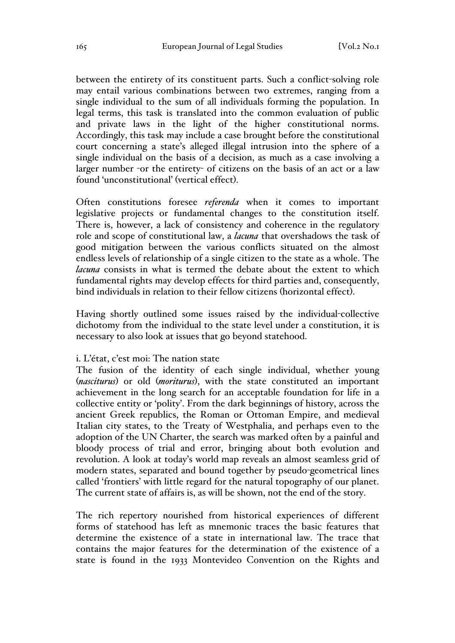between the entirety of its constituent parts. Such a conflict-solving role may entail various combinations between two extremes, ranging from a single individual to the sum of all individuals forming the population. In legal terms, this task is translated into the common evaluation of public and private laws in the light of the higher constitutional norms. Accordingly, this task may include a case brought before the constitutional court concerning a state's alleged illegal intrusion into the sphere of a single individual on the basis of a decision, as much as a case involving a larger number -or the entirety- of citizens on the basis of an act or a law found 'unconstitutional' (vertical effect).

Often constitutions foresee *referenda* when it comes to important legislative projects or fundamental changes to the constitution itself. There is, however, a lack of consistency and coherence in the regulatory role and scope of constitutional law, a *lacuna* that overshadows the task of good mitigation between the various conflicts situated on the almost endless levels of relationship of a single citizen to the state as a whole. The *lacuna* consists in what is termed the debate about the extent to which fundamental rights may develop effects for third parties and, consequently, bind individuals in relation to their fellow citizens (horizontal effect).

Having shortly outlined some issues raised by the individual-collective dichotomy from the individual to the state level under a constitution, it is necessary to also look at issues that go beyond statehood.

#### i. L'état, c'est moi: The nation state

The fusion of the identity of each single individual, whether young (*nasciturus*) or old (*moriturus*), with the state constituted an important achievement in the long search for an acceptable foundation for life in a collective entity or 'polity'. From the dark beginnings of history, across the ancient Greek republics, the Roman or Ottoman Empire, and medieval Italian city states, to the Treaty of Westphalia, and perhaps even to the adoption of the UN Charter, the search was marked often by a painful and bloody process of trial and error, bringing about both evolution and revolution. A look at today's world map reveals an almost seamless grid of modern states, separated and bound together by pseudo-geometrical lines called 'frontiers' with little regard for the natural topography of our planet. The current state of affairs is, as will be shown, not the end of the story.

The rich repertory nourished from historical experiences of different forms of statehood has left as mnemonic traces the basic features that determine the existence of a state in international law. The trace that contains the major features for the determination of the existence of a state is found in the 1933 Montevideo Convention on the Rights and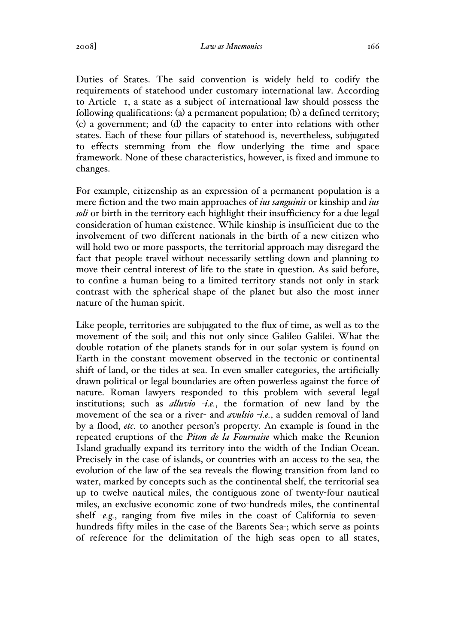2008] *Law as Mnemonics* 166

Duties of States. The said convention is widely held to codify the requirements of statehood under customary international law. According to Article 1, a state as a subject of international law should possess the following qualifications: (a) a permanent population; (b) a defined territory; (c) a government; and (d) the capacity to enter into relations with other states. Each of these four pillars of statehood is, nevertheless, subjugated to effects stemming from the flow underlying the time and space framework. None of these characteristics, however, is fixed and immune to changes.

For example, citizenship as an expression of a permanent population is a mere fiction and the two main approaches of *ius sanguinis* or kinship and *ius soli* or birth in the territory each highlight their insufficiency for a due legal consideration of human existence. While kinship is insufficient due to the involvement of two different nationals in the birth of a new citizen who will hold two or more passports, the territorial approach may disregard the fact that people travel without necessarily settling down and planning to move their central interest of life to the state in question. As said before, to confine a human being to a limited territory stands not only in stark contrast with the spherical shape of the planet but also the most inner nature of the human spirit.

Like people, territories are subjugated to the flux of time, as well as to the movement of the soil; and this not only since Galileo Galilei. What the double rotation of the planets stands for in our solar system is found on Earth in the constant movement observed in the tectonic or continental shift of land, or the tides at sea. In even smaller categories, the artificially drawn political or legal boundaries are often powerless against the force of nature. Roman lawyers responded to this problem with several legal institutions; such as *alluvio* -*i.e.*, the formation of new land by the movement of the sea or a river- and *avulsio* -*i.e.*, a sudden removal of land by a flood, *etc.* to another person's property. An example is found in the repeated eruptions of the *Piton de la Fournaise* which make the Reunion Island gradually expand its territory into the width of the Indian Ocean. Precisely in the case of islands, or countries with an access to the sea, the evolution of the law of the sea reveals the flowing transition from land to water, marked by concepts such as the continental shelf, the territorial sea up to twelve nautical miles, the contiguous zone of twenty-four nautical miles, an exclusive economic zone of two-hundreds miles, the continental shelf -*e.g.*, ranging from five miles in the coast of California to sevenhundreds fifty miles in the case of the Barents Sea-; which serve as points of reference for the delimitation of the high seas open to all states,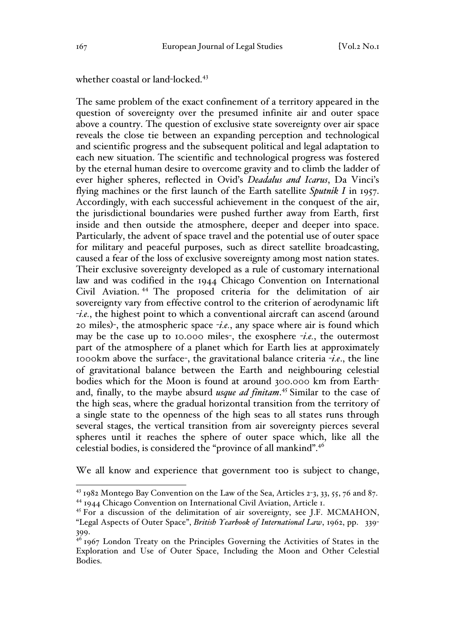whether coastal or land-locked.<sup>43</sup>

The same problem of the exact confinement of a territory appeared in the question of sovereignty over the presumed infinite air and outer space above a country. The question of exclusive state sovereignty over air space reveals the close tie between an expanding perception and technological and scientific progress and the subsequent political and legal adaptation to each new situation. The scientific and technological progress was fostered by the eternal human desire to overcome gravity and to climb the ladder of ever higher spheres, reflected in Ovid's *Deadalus and Icarus*, Da Vinci's flying machines or the first launch of the Earth satellite *Sputnik I* in 1957. Accordingly, with each successful achievement in the conquest of the air, the jurisdictional boundaries were pushed further away from Earth, first inside and then outside the atmosphere, deeper and deeper into space. Particularly, the advent of space travel and the potential use of outer space for military and peaceful purposes, such as direct satellite broadcasting, caused a fear of the loss of exclusive sovereignty among most nation states. Their exclusive sovereignty developed as a rule of customary international law and was codified in the 1944 Chicago Convention on International Civil Aviation. <sup>44</sup> The proposed criteria for the delimitation of air sovereignty vary from effective control to the criterion of aerodynamic lift -*i.e.*, the highest point to which a conventional aircraft can ascend (around 20 miles)-, the atmospheric space -*i.e.*, any space where air is found which may be the case up to 10.000 miles-, the exosphere -*i.e.*, the outermost part of the atmosphere of a planet which for Earth lies at approximately 1000km above the surface-, the gravitational balance criteria -*i.e*., the line of gravitational balance between the Earth and neighbouring celestial bodies which for the Moon is found at around 300.000 km from Earthand, finally, to the maybe absurd *usque ad finitam*. <sup>45</sup> Similar to the case of the high seas, where the gradual horizontal transition from the territory of a single state to the openness of the high seas to all states runs through several stages, the vertical transition from air sovereignty pierces several spheres until it reaches the sphere of outer space which, like all the celestial bodies, is considered the "province of all mankind".46

We all know and experience that government too is subject to change,

 <sup>43</sup> 1982 Montego Bay Convention on the Law of the Sea, Articles 2-3, 33, 55, 76 and 87. <sup>44</sup> 1944 Chicago Convention on International Civil Aviation, Article 1.

<sup>&</sup>lt;sup>45</sup> For a discussion of the delimitation of air sovereignty, see J.F. MCMAHON, "Legal Aspects of Outer Space", *British Yearbook of International Law*, 1962, pp. 339- 399.

<sup>&</sup>lt;sup>46</sup> 1967 London Treaty on the Principles Governing the Activities of States in the Exploration and Use of Outer Space, Including the Moon and Other Celestial Bodies.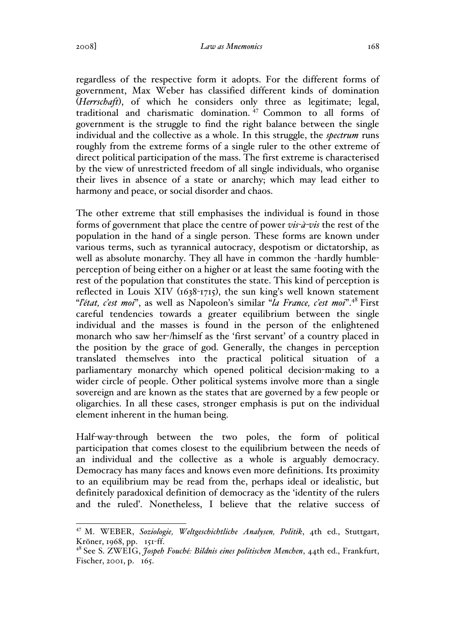regardless of the respective form it adopts. For the different forms of government, Max Weber has classified different kinds of domination (*Herrschaft*), of which he considers only three as legitimate; legal, traditional and charismatic domination. <sup>47</sup> Common to all forms of government is the struggle to find the right balance between the single individual and the collective as a whole. In this struggle, the *spectrum* runs roughly from the extreme forms of a single ruler to the other extreme of direct political participation of the mass. The first extreme is characterised by the view of unrestricted freedom of all single individuals, who organise their lives in absence of a state or anarchy; which may lead either to harmony and peace, or social disorder and chaos.

The other extreme that still emphasises the individual is found in those forms of government that place the centre of power *vis-à-vis* the rest of the population in the hand of a single person. These forms are known under various terms, such as tyrannical autocracy, despotism or dictatorship, as well as absolute monarchy. They all have in common the -hardly humbleperception of being either on a higher or at least the same footing with the rest of the population that constitutes the state. This kind of perception is reflected in Louis XIV (1638-1715), the sun king's well known statement "*l'état, c'est moi*", as well as Napoleon's similar "*la France, c'est moi*".48 First careful tendencies towards a greater equilibrium between the single individual and the masses is found in the person of the enlightened monarch who saw her-/himself as the 'first servant' of a country placed in the position by the grace of god. Generally, the changes in perception translated themselves into the practical political situation of a parliamentary monarchy which opened political decision-making to a wider circle of people. Other political systems involve more than a single sovereign and are known as the states that are governed by a few people or oligarchies. In all these cases, stronger emphasis is put on the individual element inherent in the human being.

Half-way-through between the two poles, the form of political participation that comes closest to the equilibrium between the needs of an individual and the collective as a whole is arguably democracy. Democracy has many faces and knows even more definitions. Its proximity to an equilibrium may be read from the, perhaps ideal or idealistic, but definitely paradoxical definition of democracy as the 'identity of the rulers and the ruled'. Nonetheless, I believe that the relative success of

 <sup>47</sup> M. WEBER, *Soziologie, Weltgeschichtliche Analysen, Politik*, 4th ed., Stuttgart, Kröner, 1968, pp. 151-ff.

<sup>48</sup> See S. ZWEIG, *Jospeh Fouché: Bildnis eines politischen Menchen*, 44th ed., Frankfurt, Fischer, 2001, p. 165.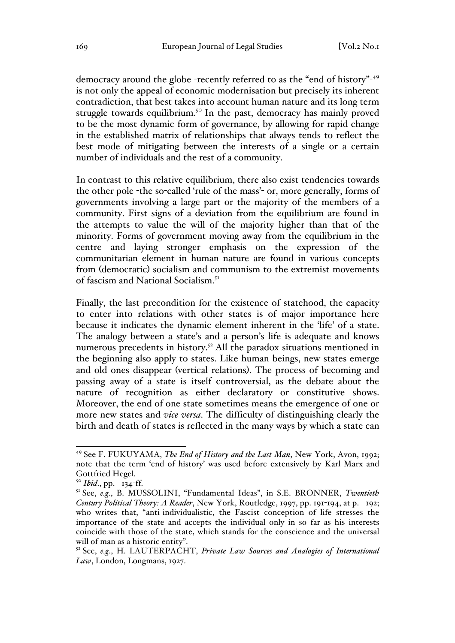democracy around the globe -recently referred to as the "end of history"-49 is not only the appeal of economic modernisation but precisely its inherent contradiction, that best takes into account human nature and its long term struggle towards equilibrium.<sup>50</sup> In the past, democracy has mainly proved to be the most dynamic form of governance, by allowing for rapid change in the established matrix of relationships that always tends to reflect the best mode of mitigating between the interests of a single or a certain number of individuals and the rest of a community.

In contrast to this relative equilibrium, there also exist tendencies towards the other pole -the so-called 'rule of the mass'- or, more generally, forms of governments involving a large part or the majority of the members of a community. First signs of a deviation from the equilibrium are found in the attempts to value the will of the majority higher than that of the minority. Forms of government moving away from the equilibrium in the centre and laying stronger emphasis on the expression of the communitarian element in human nature are found in various concepts from (democratic) socialism and communism to the extremist movements of fascism and National Socialism.51

Finally, the last precondition for the existence of statehood, the capacity to enter into relations with other states is of major importance here because it indicates the dynamic element inherent in the 'life' of a state. The analogy between a state's and a person's life is adequate and knows numerous precedents in history.<sup>52</sup> All the paradox situations mentioned in the beginning also apply to states. Like human beings, new states emerge and old ones disappear (vertical relations). The process of becoming and passing away of a state is itself controversial, as the debate about the nature of recognition as either declaratory or constitutive shows. Moreover, the end of one state sometimes means the emergence of one or more new states and *vice versa*. The difficulty of distinguishing clearly the birth and death of states is reflected in the many ways by which a state can

 <sup>49</sup> See F. FUKUYAMA, *The End of History and the Last Man*, New York, Avon, 1992; note that the term 'end of history' was used before extensively by Karl Marx and Gottfried Hegel.

<sup>50</sup> *Ibid*., pp. 134-ff.

<sup>51</sup> See, *e.g.*, B. MUSSOLINI, "Fundamental Ideas", in S.E. BRONNER, *Twentieth Century Political Theory: A Reader*, New York, Routledge, 1997, pp. 191-194, at p. 192; who writes that, "anti-individualistic, the Fascist conception of life stresses the importance of the state and accepts the individual only in so far as his interests coincide with those of the state, which stands for the conscience and the universal will of man as a historic entity".

<sup>52</sup> See, *e.g*., H. LAUTERPACHT, *Private Law Sources and Analogies of International Law*, London, Longmans, 1927.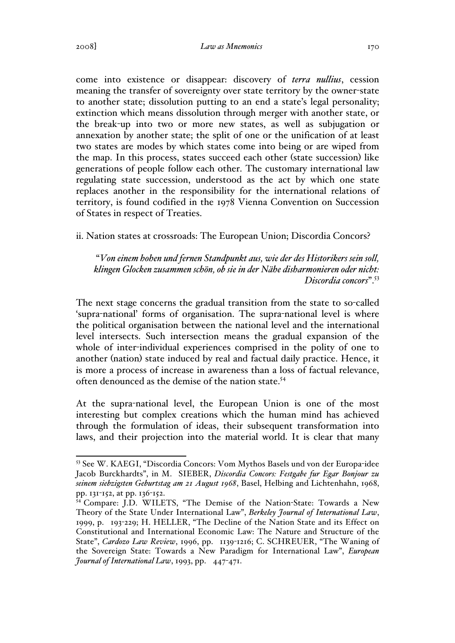2008] *Law as Mnemonics* 170

come into existence or disappear: discovery of *terra nullius*, cession meaning the transfer of sovereignty over state territory by the owner-state to another state; dissolution putting to an end a state's legal personality; extinction which means dissolution through merger with another state, or the break-up into two or more new states, as well as subjugation or annexation by another state; the split of one or the unification of at least two states are modes by which states come into being or are wiped from the map. In this process, states succeed each other (state succession) like generations of people follow each other. The customary international law regulating state succession, understood as the act by which one state replaces another in the responsibility for the international relations of territory, is found codified in the 1978 Vienna Convention on Succession of States in respect of Treaties.

ii. Nation states at crossroads: The European Union; Discordia Concors?

"*Von einem hohen und fernen Standpunkt aus, wie der des Historikers sein soll, klingen Glocken zusammen schön, ob sie in der Nähe disharmonieren oder nicht: Discordia concors*".53

The next stage concerns the gradual transition from the state to so-called 'supra-national' forms of organisation. The supra-national level is where the political organisation between the national level and the international level intersects. Such intersection means the gradual expansion of the whole of inter-individual experiences comprised in the polity of one to another (nation) state induced by real and factual daily practice. Hence, it is more a process of increase in awareness than a loss of factual relevance, often denounced as the demise of the nation state.<sup>54</sup>

At the supra-national level, the European Union is one of the most interesting but complex creations which the human mind has achieved through the formulation of ideas, their subsequent transformation into laws, and their projection into the material world. It is clear that many

 <sup>53</sup> See W. KAEGI, "Discordia Concors: Vom Mythos Basels und von der Europa-idee Jacob Burckhardts", in M. SIEBER, *Discordia Concors: Festgabe fur Egar Bonjour zu seinem siebzigsten Geburtstag am 21 August 1968*, Basel, Helbing and Lichtenhahn, 1968, pp. 131-152, at pp. 136-152.

<sup>&</sup>lt;sup>54</sup> Compare: J.D. WILETS, "The Demise of the Nation-State: Towards a New Theory of the State Under International Law", *Berkeley Journal of International Law*, 1999, p. 193-229; H. HELLER, "The Decline of the Nation State and its Effect on Constitutional and International Economic Law: The Nature and Structure of the State", *Cardozo Law Review*, 1996, pp. 1139-1216; C. SCHREUER, "The Waning of the Sovereign State: Towards a New Paradigm for International Law", *European Journal of International Law*, 1993, pp. 447-471.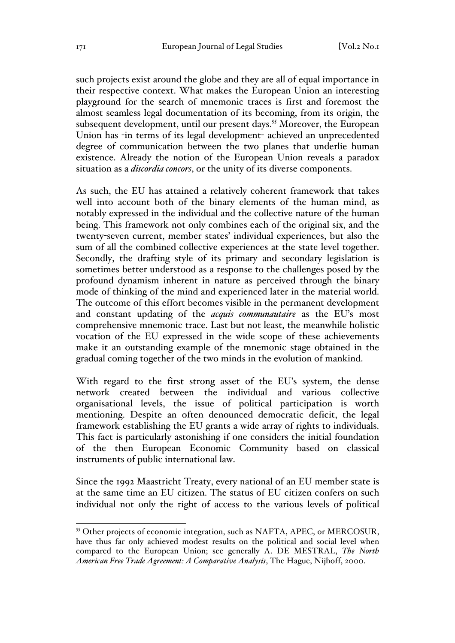such projects exist around the globe and they are all of equal importance in their respective context. What makes the European Union an interesting playground for the search of mnemonic traces is first and foremost the almost seamless legal documentation of its becoming, from its origin, the subsequent development, until our present days.<sup>55</sup> Moreover, the European Union has -in terms of its legal development- achieved an unprecedented degree of communication between the two planes that underlie human existence. Already the notion of the European Union reveals a paradox situation as a *discordia concors*, or the unity of its diverse components.

As such, the EU has attained a relatively coherent framework that takes well into account both of the binary elements of the human mind, as notably expressed in the individual and the collective nature of the human being. This framework not only combines each of the original six, and the twenty-seven current, member states' individual experiences, but also the sum of all the combined collective experiences at the state level together. Secondly, the drafting style of its primary and secondary legislation is sometimes better understood as a response to the challenges posed by the profound dynamism inherent in nature as perceived through the binary mode of thinking of the mind and experienced later in the material world. The outcome of this effort becomes visible in the permanent development and constant updating of the *acquis communautaire* as the EU's most comprehensive mnemonic trace. Last but not least, the meanwhile holistic vocation of the EU expressed in the wide scope of these achievements make it an outstanding example of the mnemonic stage obtained in the gradual coming together of the two minds in the evolution of mankind.

With regard to the first strong asset of the EU's system, the dense network created between the individual and various collective organisational levels, the issue of political participation is worth mentioning. Despite an often denounced democratic deficit, the legal framework establishing the EU grants a wide array of rights to individuals. This fact is particularly astonishing if one considers the initial foundation of the then European Economic Community based on classical instruments of public international law.

Since the 1992 Maastricht Treaty, every national of an EU member state is at the same time an EU citizen. The status of EU citizen confers on such individual not only the right of access to the various levels of political

 <sup>55</sup> Other projects of economic integration, such as NAFTA, APEC, or MERCOSUR, have thus far only achieved modest results on the political and social level when compared to the European Union; see generally A. DE MESTRAL, *The North American Free Trade Agreement: A Comparative Analysis*, The Hague, Nijhoff, 2000.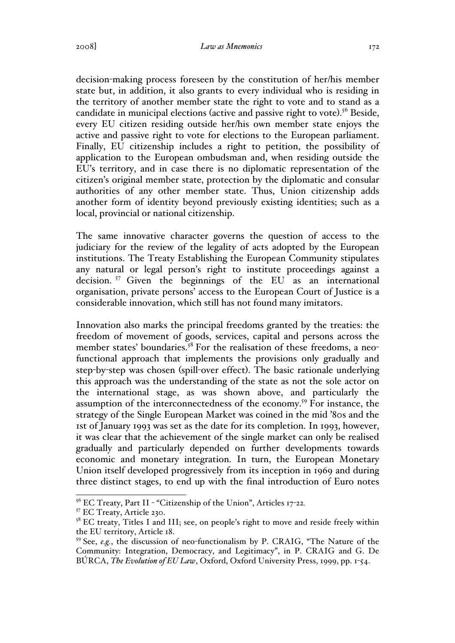decision-making process foreseen by the constitution of her/his member state but, in addition, it also grants to every individual who is residing in the territory of another member state the right to vote and to stand as a candidate in municipal elections (active and passive right to vote). <sup>56</sup> Beside, every EU citizen residing outside her/his own member state enjoys the active and passive right to vote for elections to the European parliament. Finally, EU citizenship includes a right to petition, the possibility of application to the European ombudsman and, when residing outside the EU's territory, and in case there is no diplomatic representation of the citizen's original member state, protection by the diplomatic and consular authorities of any other member state. Thus, Union citizenship adds another form of identity beyond previously existing identities; such as a local, provincial or national citizenship.

The same innovative character governs the question of access to the judiciary for the review of the legality of acts adopted by the European institutions. The Treaty Establishing the European Community stipulates any natural or legal person's right to institute proceedings against a decision.<sup>57</sup> Given the beginnings of the EU as an international organisation, private persons' access to the European Court of Justice is a considerable innovation, which still has not found many imitators.

Innovation also marks the principal freedoms granted by the treaties: the freedom of movement of goods, services, capital and persons across the member states' boundaries.<sup>58</sup> For the realisation of these freedoms, a neofunctional approach that implements the provisions only gradually and step-by-step was chosen (spill-over effect). The basic rationale underlying this approach was the understanding of the state as not the sole actor on the international stage, as was shown above, and particularly the assumption of the interconnectedness of the economy.59 For instance, the strategy of the Single European Market was coined in the mid '80s and the 1st of January 1993 was set as the date for its completion. In 1993, however, it was clear that the achievement of the single market can only be realised gradually and particularly depended on further developments towards economic and monetary integration. In turn, the European Monetary Union itself developed progressively from its inception in 1969 and during three distinct stages, to end up with the final introduction of Euro notes

<sup>&</sup>lt;sup>56</sup> EC Treaty, Part II - "Citizenship of the Union", Articles 17-22.<br><sup>57</sup> EC Treaty, Article 230.<br><sup>58</sup> EC treaty, Titles I and III; see, on people's right to move and reside freely within the EU territory, Article 18.

<sup>59</sup> See, *e.g.*, the discussion of neo-functionalism by P. CRAIG, "The Nature of the Community: Integration, Democracy, and Legitimacy", in P. CRAIG and G. De BÚRCA, *The Evolution of EU Law*, Oxford, Oxford University Press, 1999, pp. 1-54.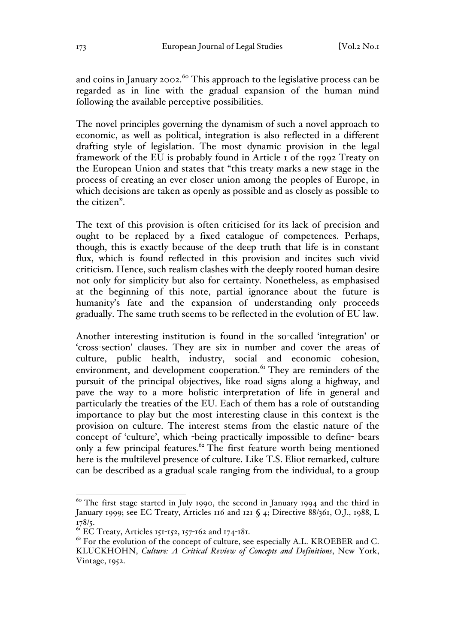and coins in January 2002.<sup>60</sup> This approach to the legislative process can be regarded as in line with the gradual expansion of the human mind following the available perceptive possibilities.

The novel principles governing the dynamism of such a novel approach to economic, as well as political, integration is also reflected in a different drafting style of legislation. The most dynamic provision in the legal framework of the EU is probably found in Article 1 of the 1992 Treaty on the European Union and states that "this treaty marks a new stage in the process of creating an ever closer union among the peoples of Europe, in which decisions are taken as openly as possible and as closely as possible to the citizen".

The text of this provision is often criticised for its lack of precision and ought to be replaced by a fixed catalogue of competences. Perhaps, though, this is exactly because of the deep truth that life is in constant flux, which is found reflected in this provision and incites such vivid criticism. Hence, such realism clashes with the deeply rooted human desire not only for simplicity but also for certainty. Nonetheless, as emphasised at the beginning of this note, partial ignorance about the future is humanity's fate and the expansion of understanding only proceeds gradually. The same truth seems to be reflected in the evolution of EU law.

Another interesting institution is found in the so-called 'integration' or 'cross-section' clauses. They are six in number and cover the areas of culture, public health, industry, social and economic cohesion, environment, and development cooperation.<sup>61</sup> They are reminders of the pursuit of the principal objectives, like road signs along a highway, and pave the way to a more holistic interpretation of life in general and particularly the treaties of the EU. Each of them has a role of outstanding importance to play but the most interesting clause in this context is the provision on culture. The interest stems from the elastic nature of the concept of 'culture', which -being practically impossible to define- bears only a few principal features.<sup> $62$ </sup> The first feature worth being mentioned here is the multilevel presence of culture. Like T.S. Eliot remarked, culture can be described as a gradual scale ranging from the individual, to a group

 $60$  The first stage started in July 1990, the second in January 1994 and the third in January 1999; see EC Treaty, Articles 116 and 121 § 4; Directive 88/361, O.J., 1988, L 178/5.

 $^{61}$  EC Treaty, Articles 151-152, 157-162 and 174-181.

 $62$  For the evolution of the concept of culture, see especially A.L. KROEBER and C. KLUCKHOHN, *Culture: A Critical Review of Concepts and Definitions*, New York, Vintage, 1952.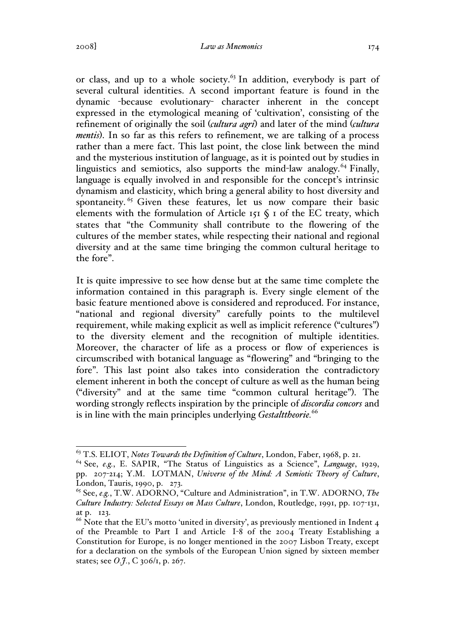or class, and up to a whole society.<sup>63</sup> In addition, everybody is part of several cultural identities. A second important feature is found in the dynamic -because evolutionary- character inherent in the concept expressed in the etymological meaning of 'cultivation', consisting of the refinement of originally the soil (*cultura agri*) and later of the mind (*cultura mentis*). In so far as this refers to refinement, we are talking of a process rather than a mere fact. This last point, the close link between the mind and the mysterious institution of language, as it is pointed out by studies in linguistics and semiotics, also supports the mind-law analogy. $^{64}$  Finally, language is equally involved in and responsible for the concept's intrinsic dynamism and elasticity, which bring a general ability to host diversity and spontaneity.<sup>65</sup> Given these features, let us now compare their basic elements with the formulation of Article 151  $\S$  1 of the EC treaty, which states that "the Community shall contribute to the flowering of the cultures of the member states, while respecting their national and regional diversity and at the same time bringing the common cultural heritage to the fore".

It is quite impressive to see how dense but at the same time complete the information contained in this paragraph is. Every single element of the basic feature mentioned above is considered and reproduced. For instance, "national and regional diversity" carefully points to the multilevel requirement, while making explicit as well as implicit reference ("cultures") to the diversity element and the recognition of multiple identities. Moreover, the character of life as a process or flow of experiences is circumscribed with botanical language as "flowering" and "bringing to the fore". This last point also takes into consideration the contradictory element inherent in both the concept of culture as well as the human being ("diversity" and at the same time "common cultural heritage"). The wording strongly reflects inspiration by the principle of *discordia concors* and is in line with the main principles underlying *Gestalttheorie.*<sup>66</sup>

 <sup>63</sup> T.S. ELIOT, *Notes Towards the Definition of Culture*, London, Faber, 1968, p. 21.

<sup>64</sup> See, *e.g.*, E. SAPIR, "The Status of Linguistics as a Science", *Language*, 1929, pp. 207-214; Y.M. LOTMAN, *Universe of the Mind: A Semiotic Theory of Culture*, London, Tauris, 1990, p. 273.

<sup>65</sup> See, *e.g.*, T.W. ADORNO, "Culture and Administration", in T.W. ADORNO, *The Culture Industry: Selected Essays on Mass Culture*, London, Routledge, 1991, pp. 107-131, at p. 123.

 $66$  Note that the EU's motto 'united in diversity', as previously mentioned in Indent 4 of the Preamble to Part I and Article I-8 of the 2004 Treaty Establishing a Constitution for Europe, is no longer mentioned in the 2007 Lisbon Treaty, except for a declaration on the symbols of the European Union signed by sixteen member states; see *O.J.*, C 306/1, p. 267.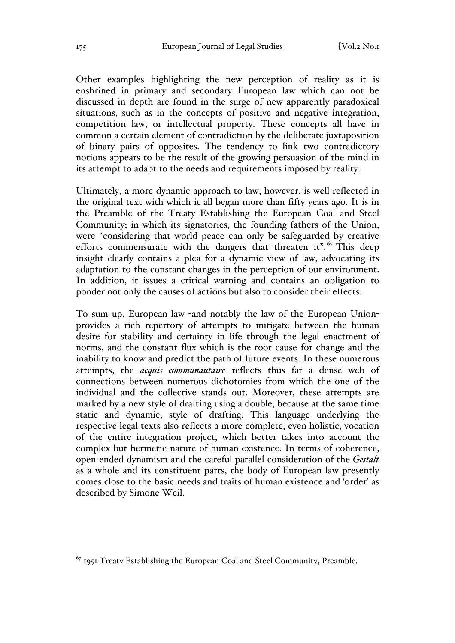Other examples highlighting the new perception of reality as it is enshrined in primary and secondary European law which can not be discussed in depth are found in the surge of new apparently paradoxical situations, such as in the concepts of positive and negative integration, competition law, or intellectual property. These concepts all have in common a certain element of contradiction by the deliberate juxtaposition of binary pairs of opposites. The tendency to link two contradictory notions appears to be the result of the growing persuasion of the mind in its attempt to adapt to the needs and requirements imposed by reality.

Ultimately, a more dynamic approach to law, however, is well reflected in the original text with which it all began more than fifty years ago. It is in the Preamble of the Treaty Establishing the European Coal and Steel Community; in which its signatories, the founding fathers of the Union, were "considering that world peace can only be safeguarded by creative efforts commensurate with the dangers that threaten it".<sup>67</sup> This deep insight clearly contains a plea for a dynamic view of law, advocating its adaptation to the constant changes in the perception of our environment. In addition, it issues a critical warning and contains an obligation to ponder not only the causes of actions but also to consider their effects.

To sum up, European law -and notably the law of the European Unionprovides a rich repertory of attempts to mitigate between the human desire for stability and certainty in life through the legal enactment of norms, and the constant flux which is the root cause for change and the inability to know and predict the path of future events. In these numerous attempts, the *acquis communautaire* reflects thus far a dense web of connections between numerous dichotomies from which the one of the individual and the collective stands out. Moreover, these attempts are marked by a new style of drafting using a double, because at the same time static and dynamic, style of drafting. This language underlying the respective legal texts also reflects a more complete, even holistic, vocation of the entire integration project, which better takes into account the complex but hermetic nature of human existence. In terms of coherence, open-ended dynamism and the careful parallel consideration of the *Gestalt* as a whole and its constituent parts, the body of European law presently comes close to the basic needs and traits of human existence and 'order' as described by Simone Weil.

 $^{67}$  1951 Treaty Establishing the European Coal and Steel Community, Preamble.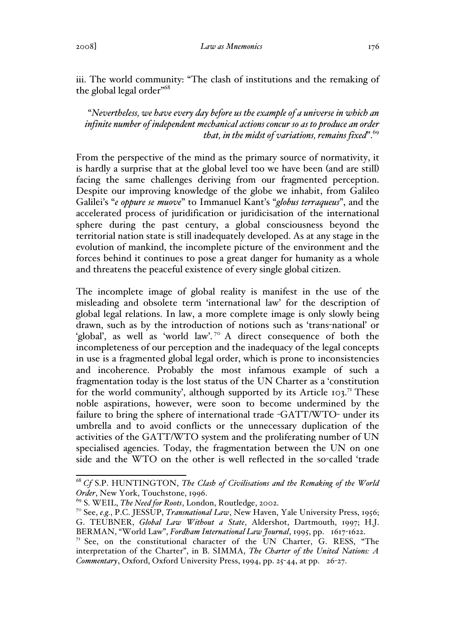iii. The world community: "The clash of institutions and the remaking of the global legal order"68

"*Nevertheless, we have every day before us the example of a universe in which an infinite number of independent mechanical actions concur so as to produce an order that, in the midst of variations, remains fixed*".69

From the perspective of the mind as the primary source of normativity, it is hardly a surprise that at the global level too we have been (and are still) facing the same challenges deriving from our fragmented perception. Despite our improving knowledge of the globe we inhabit, from Galileo Galilei's "*e oppure se muove*" to Immanuel Kant's "*globus terraqueus*", and the accelerated process of juridification or juridicisation of the international sphere during the past century, a global consciousness beyond the territorial nation state is still inadequately developed. As at any stage in the evolution of mankind, the incomplete picture of the environment and the forces behind it continues to pose a great danger for humanity as a whole and threatens the peaceful existence of every single global citizen.

The incomplete image of global reality is manifest in the use of the misleading and obsolete term 'international law' for the description of global legal relations. In law, a more complete image is only slowly being drawn, such as by the introduction of notions such as 'trans-national' or 'global', as well as 'world law'.<sup>70</sup> A direct consequence of both the incompleteness of our perception and the inadequacy of the legal concepts in use is a fragmented global legal order, which is prone to inconsistencies and incoherence. Probably the most infamous example of such a fragmentation today is the lost status of the UN Charter as a 'constitution for the world community', although supported by its Article  $103$ .<sup>71</sup> These noble aspirations, however, were soon to become undermined by the failure to bring the sphere of international trade -GATT/WTO- under its umbrella and to avoid conflicts or the unnecessary duplication of the activities of the GATT/WTO system and the proliferating number of UN specialised agencies. Today, the fragmentation between the UN on one side and the WTO on the other is well reflected in the so-called 'trade

 <sup>68</sup> *Cf* S.P. HUNTINGTON, *The Clash of Civilisations and the Remaking of the World Order*, New York, Touchstone, 1996.

<sup>69</sup> S. WEIL, *The Need for Roots*, London, Routledge, 2002.

<sup>70</sup> See, *e.g.*, P.C. JESSUP, *Transnational Law*, New Haven, Yale University Press, 1956; G. TEUBNER, *Global Law Without a State*, Aldershot, Dartmouth, 1997; H.J. BERMAN, "World Law", *Fordham International Law Journal*, 1995, pp. 1617-1622.

 $7<sup>T</sup>$  See, on the constitutional character of the UN Charter, G. RESS, "The interpretation of the Charter", in B. SIMMA, *The Charter of the United Nations: A Commentary*, Oxford, Oxford University Press, 1994, pp. 25-44, at pp. 26-27.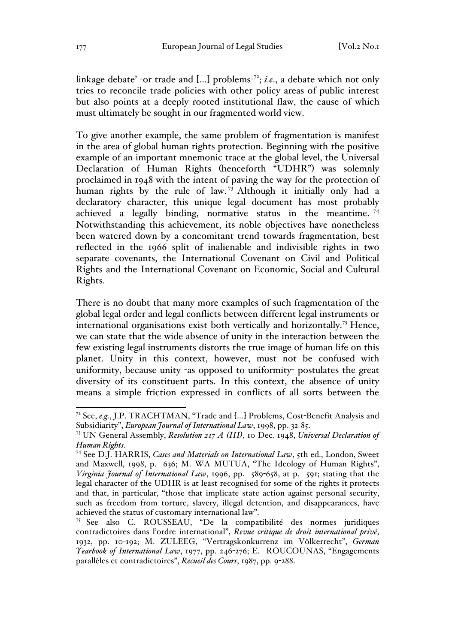linkage debate' -or trade and […] problems-72; *i.e*., a debate which not only tries to reconcile trade policies with other policy areas of public interest but also points at a deeply rooted institutional flaw, the cause of which must ultimately be sought in our fragmented world view.

To give another example, the same problem of fragmentation is manifest in the area of global human rights protection. Beginning with the positive example of an important mnemonic trace at the global level, the Universal Declaration of Human Rights (henceforth "UDHR") was solemnly proclaimed in 1948 with the intent of paving the way for the protection of human rights by the rule of law.<sup>73</sup> Although it initially only had a declaratory character, this unique legal document has most probably achieved a legally binding, normative status in the meantime.  $74$ Notwithstanding this achievement, its noble objectives have nonetheless been watered down by a concomitant trend towards fragmentation, best reflected in the 1966 split of inalienable and indivisible rights in two separate covenants, the International Covenant on Civil and Political Rights and the International Covenant on Economic, Social and Cultural Rights.

There is no doubt that many more examples of such fragmentation of the global legal order and legal conflicts between different legal instruments or international organisations exist both vertically and horizontally.<sup>75</sup> Hence, we can state that the wide absence of unity in the interaction between the few existing legal instruments distorts the true image of human life on this planet. Unity in this context, however, must not be confused with uniformity, because unity -as opposed to uniformity- postulates the great diversity of its constituent parts. In this context, the absence of unity means a simple friction expressed in conflicts of all sorts between the

 <sup>72</sup> See, *e.g.*, J.P. TRACHTMAN, "Trade and […] Problems, Cost-Benefit Analysis and Subsidiarity", *European Journal of International Law*, 1998, pp. 32-85.

<sup>73</sup> UN General Assembly, *Resolution 217 A (III)*, 10 Dec. 1948, *Universal Declaration of Human Rights*. <sup>74</sup> See D.J. HARRIS, *Cases and Materials on International Law*, 5th ed., London, Sweet

and Maxwell, 1998, p. 636; M. WA MUTUA, "The Ideology of Human Rights", *Virginia Journal of International Law*, 1996, pp. 589-658, at p. 591; stating that the legal character of the UDHR is at least recognised for some of the rights it protects and that, in particular, "those that implicate state action against personal security, such as freedom from torture, slavery, illegal detention, and disappearances, have achieved the status of customary international law".

 $75$  See also C. ROUSSEAU, "De la compatibilité des normes juridiques contradictoires dans l'ordre international", *Revue critique de droit international privé*, 1932, pp. 10-192; M. ZULEEG, "Vertragskonkurrenz im Völkerrecht", *German Yearbook of International Law*, 1977, pp. 246-276; E. ROUCOUNAS, "Engagements parallèles et contradictoires", *Recueil des Cours*, 1987, pp. 9-288.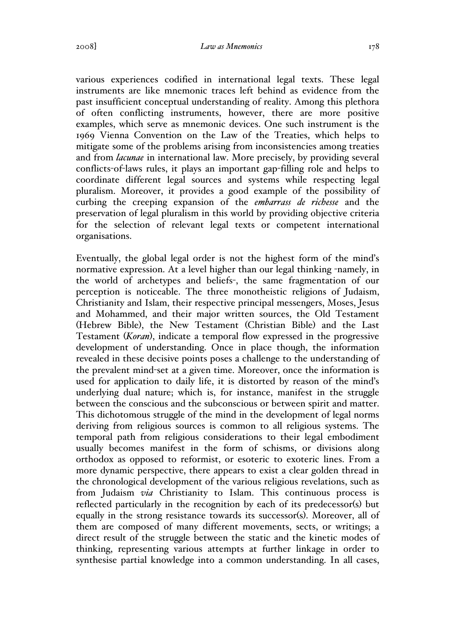various experiences codified in international legal texts. These legal instruments are like mnemonic traces left behind as evidence from the past insufficient conceptual understanding of reality. Among this plethora of often conflicting instruments, however, there are more positive examples, which serve as mnemonic devices. One such instrument is the 1969 Vienna Convention on the Law of the Treaties, which helps to mitigate some of the problems arising from inconsistencies among treaties and from *lacunae* in international law. More precisely, by providing several conflicts-of-laws rules, it plays an important gap-filling role and helps to coordinate different legal sources and systems while respecting legal pluralism. Moreover, it provides a good example of the possibility of curbing the creeping expansion of the *embarrass de richesse* and the preservation of legal pluralism in this world by providing objective criteria for the selection of relevant legal texts or competent international organisations.

Eventually, the global legal order is not the highest form of the mind's normative expression. At a level higher than our legal thinking -namely, in the world of archetypes and beliefs-, the same fragmentation of our perception is noticeable. The three monotheistic religions of Judaism, Christianity and Islam, their respective principal messengers, Moses, Jesus and Mohammed, and their major written sources, the Old Testament (Hebrew Bible), the New Testament (Christian Bible) and the Last Testament (*Koran*), indicate a temporal flow expressed in the progressive development of understanding. Once in place though, the information revealed in these decisive points poses a challenge to the understanding of the prevalent mind-set at a given time. Moreover, once the information is used for application to daily life, it is distorted by reason of the mind's underlying dual nature; which is, for instance, manifest in the struggle between the conscious and the subconscious or between spirit and matter. This dichotomous struggle of the mind in the development of legal norms deriving from religious sources is common to all religious systems. The temporal path from religious considerations to their legal embodiment usually becomes manifest in the form of schisms, or divisions along orthodox as opposed to reformist, or esoteric to exoteric lines. From a more dynamic perspective, there appears to exist a clear golden thread in the chronological development of the various religious revelations, such as from Judaism *via* Christianity to Islam. This continuous process is reflected particularly in the recognition by each of its predecessor(s) but equally in the strong resistance towards its successor(s). Moreover, all of them are composed of many different movements, sects, or writings; a direct result of the struggle between the static and the kinetic modes of thinking, representing various attempts at further linkage in order to synthesise partial knowledge into a common understanding. In all cases,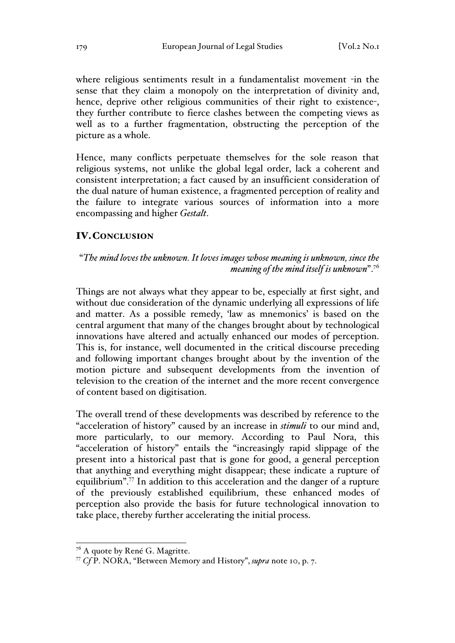where religious sentiments result in a fundamentalist movement -in the sense that they claim a monopoly on the interpretation of divinity and, hence, deprive other religious communities of their right to existence-, they further contribute to fierce clashes between the competing views as well as to a further fragmentation, obstructing the perception of the picture as a whole.

Hence, many conflicts perpetuate themselves for the sole reason that religious systems, not unlike the global legal order, lack a coherent and consistent interpretation; a fact caused by an insufficient consideration of the dual nature of human existence, a fragmented perception of reality and the failure to integrate various sources of information into a more encompassing and higher *Gestalt*.

# IV.CONCLUSION

"*The mind loves the unknown. It loves images whose meaning is unknown, since the meaning of the mind itself is unknown*".<sup>76</sup>

Things are not always what they appear to be, especially at first sight, and without due consideration of the dynamic underlying all expressions of life and matter. As a possible remedy, 'law as mnemonics' is based on the central argument that many of the changes brought about by technological innovations have altered and actually enhanced our modes of perception. This is, for instance, well documented in the critical discourse preceding and following important changes brought about by the invention of the motion picture and subsequent developments from the invention of television to the creation of the internet and the more recent convergence of content based on digitisation.

The overall trend of these developments was described by reference to the "acceleration of history" caused by an increase in *stimuli* to our mind and, more particularly, to our memory. According to Paul Nora, this "acceleration of history" entails the "increasingly rapid slippage of the present into a historical past that is gone for good, a general perception that anything and everything might disappear; these indicate a rupture of equilibrium".77 In addition to this acceleration and the danger of a rupture of the previously established equilibrium, these enhanced modes of perception also provide the basis for future technological innovation to take place, thereby further accelerating the initial process.

<sup>&</sup>lt;sup>76</sup> A quote by René G. Magritte.

<sup>77</sup> *Cf* P. NORA, "Between Memory and History", *supra* note 10, p. 7.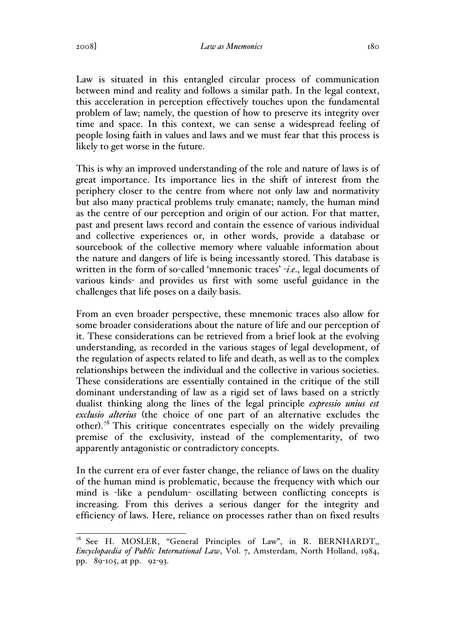Law is situated in this entangled circular process of communication between mind and reality and follows a similar path. In the legal context, this acceleration in perception effectively touches upon the fundamental problem of law; namely, the question of how to preserve its integrity over time and space. In this context, we can sense a widespread feeling of people losing faith in values and laws and we must fear that this process is likely to get worse in the future.

This is why an improved understanding of the role and nature of laws is of great importance. Its importance lies in the shift of interest from the periphery closer to the centre from where not only law and normativity but also many practical problems truly emanate; namely, the human mind as the centre of our perception and origin of our action. For that matter, past and present laws record and contain the essence of various individual and collective experiences or, in other words, provide a database or sourcebook of the collective memory where valuable information about the nature and dangers of life is being incessantly stored. This database is written in the form of so-called 'mnemonic traces' -*i.e*., legal documents of various kinds- and provides us first with some useful guidance in the challenges that life poses on a daily basis.

From an even broader perspective, these mnemonic traces also allow for some broader considerations about the nature of life and our perception of it. These considerations can be retrieved from a brief look at the evolving understanding, as recorded in the various stages of legal development, of the regulation of aspects related to life and death, as well as to the complex relationships between the individual and the collective in various societies. These considerations are essentially contained in the critique of the still dominant understanding of law as a rigid set of laws based on a strictly dualist thinking along the lines of the legal principle *expressio unius est exclusio alterius* (the choice of one part of an alternative excludes the other).<sup>78</sup> This critique concentrates especially on the widely prevailing premise of the exclusivity, instead of the complementarity, of two apparently antagonistic or contradictory concepts.

In the current era of ever faster change, the reliance of laws on the duality of the human mind is problematic, because the frequency with which our mind is -like a pendulum- oscillating between conflicting concepts is increasing. From this derives a serious danger for the integrity and efficiency of laws. Here, reliance on processes rather than on fixed results

 $^{78}$  See H. MOSLER, "General Principles of Law", in R. BERNHARDT, *Encyclopaedia of Public International Law*, Vol. 7, Amsterdam, North Holland, 1984, pp. 89-105, at pp. 92-93.